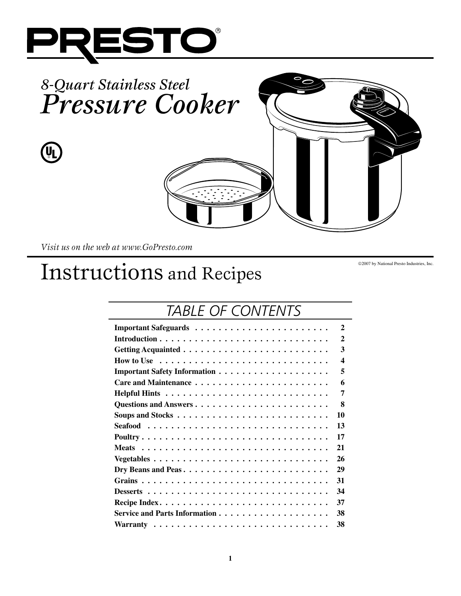



*Visit us on the web at www.GoPresto.com*

# Instructions and Recipes

2007 by National Presto Industries, Inc.

# *Table of Contents*

| 2                                                                                                  |
|----------------------------------------------------------------------------------------------------|
| $\mathbf{2}$                                                                                       |
| 3                                                                                                  |
| How to Use $\dots \dots \dots \dots \dots \dots \dots \dots \dots \dots \dots$<br>$\boldsymbol{4}$ |
| 5<br><b>Important Safety Information </b>                                                          |
| 6                                                                                                  |
| 7                                                                                                  |
| 8                                                                                                  |
| 10<br>Soups and Stocks $\dots \dots \dots \dots \dots \dots \dots \dots \dots \dots$               |
| 13                                                                                                 |
| 17                                                                                                 |
| 21                                                                                                 |
| 26                                                                                                 |
| 29<br>Dry Beans and Peas                                                                           |
| 31                                                                                                 |
| 34                                                                                                 |
| 37                                                                                                 |
| Service and Parts Information $\dots$ , $\dots$ , $\dots$ , $\dots$ , $\dots$ , $\dots$ ,<br>38    |
| 38                                                                                                 |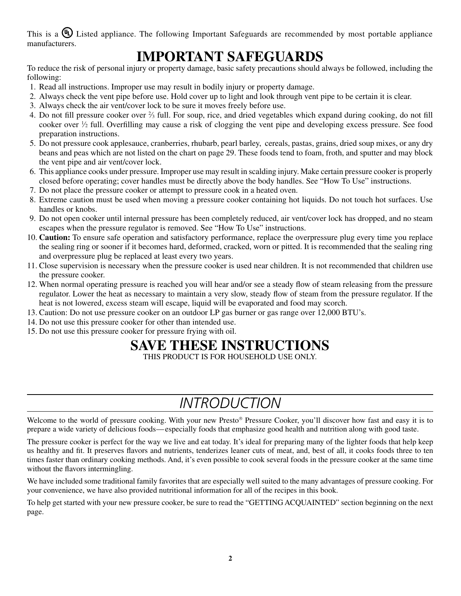This is a  $\mathbb Q$  Listed appliance. The following Important Safeguards are recommended by most portable appliance manufacturers.

### **IMPORTANT SAFEGUARDS**

To reduce the risk of personal injury or property damage, basic safety precautions should always be followed, including the following:

- 1. Read all instructions. Improper use may result in bodily injury or property damage.
- 2. Always check the vent pipe before use. Hold cover up to light and look through vent pipe to be certain it is clear.
- 3. Always check the air vent/cover lock to be sure it moves freely before use.
- 4. Do not fill pressure cooker over  $\frac{2}{3}$  full. For soup, rice, and dried vegetables which expand during cooking, do not fill cooker over 1 ⁄2 full. Overfilling may cause a risk of clogging the vent pipe and developing excess pressure. See food preparation instructions.
- 5. Do not pressure cook applesauce, cranberries, rhubarb, pearl barley, cereals, pastas, grains, dried soup mixes, or any dry beans and peas which are not listed on the chart on page 29. These foods tend to foam, froth, and sputter and may block the vent pipe and air vent/cover lock.
- 6. This appliance cooks under pressure. Improper use may result in scalding injury. Make certain pressure cooker is properly closed before operating; cover handles must be directly above the body handles. See "How To Use" instructions.
- 7. Do not place the pressure cooker or attempt to pressure cook in a heated oven.
- 8. Extreme caution must be used when moving a pressure cooker containing hot liquids. Do not touch hot surfaces. Use handles or knobs.
- 9. Do not open cooker until internal pressure has been completely reduced, air vent/cover lock has dropped, and no steam escapes when the pressure regulator is removed. See "How To Use" instructions.
- 10. **Caution:** To ensure safe operation and satisfactory performance, replace the overpressure plug every time you replace the sealing ring or sooner if it becomes hard, deformed, cracked, worn or pitted. It is recommended that the sealing ring and overpressure plug be replaced at least every two years.
- 11. Close supervision is necessary when the pressure cooker is used near children. It is not recommended that children use the pressure cooker.
- 12. When normal operating pressure is reached you will hear and/or see a steady flow of steam releasing from the pressure regulator. Lower the heat as necessary to maintain a very slow, steady flow of steam from the pressure regulator. If the heat is not lowered, excess steam will escape, liquid will be evaporated and food may scorch.
- 13. Caution: Do not use pressure cooker on an outdoor LP gas burner or gas range over 12,000 BTU's.
- 14. Do not use this pressure cooker for other than intended use.
- 15. Do not use this pressure cooker for pressure frying with oil.

### **SAVE THESE INSTRUCTIONS**

THIS PRODUCT IS FOR HOUSEHOLD USE ONLY

# *Introduction*

Welcome to the world of pressure cooking. With your new Presto<sup>®</sup> Pressure Cooker, you'll discover how fast and easy it is to prepare a wide variety of delicious foods—especially foods that emphasize good health and nutrition along with good taste.

The pressure cooker is perfect for the way we live and eat today. It's ideal for preparing many of the lighter foods that help keep us healthy and fit. It preserves flavors and nutrients, tenderizes leaner cuts of meat, and, best of all, it cooks foods three to ten times faster than ordinary cooking methods. And, it's even possible to cook several foods in the pressure cooker at the same time without the flavors intermingling.

We have included some traditional family favorites that are especially well suited to the many advantages of pressure cooking. For your convenience, we have also provided nutritional information for all of the recipes in this book.

To help get started with your new pressure cooker, be sure to read the "GETTING ACQUAINTED" section beginning on the next page.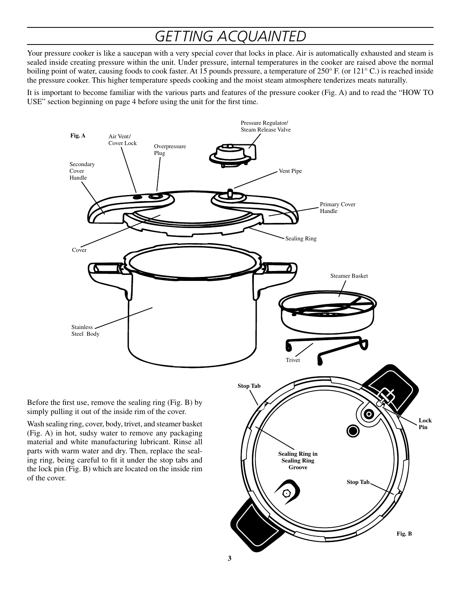# *Getting Acquainted*

Your pressure cooker is like a saucepan with a very special cover that locks in place. Air is automatically exhausted and steam is sealed inside creating pressure within the unit. Under pressure, internal temperatures in the cooker are raised above the normal boiling point of water, causing foods to cook faster. At 15 pounds pressure, a temperature of 250° F. (or 121° C.) is reached inside the pressure cooker. This higher temperature speeds cooking and the moist steam atmosphere tenderizes meats naturally.

It is important to become familiar with the various parts and features of the pressure cooker (Fig. A) and to read the "How To USE" section beginning on page 4 before using the unit for the first time.

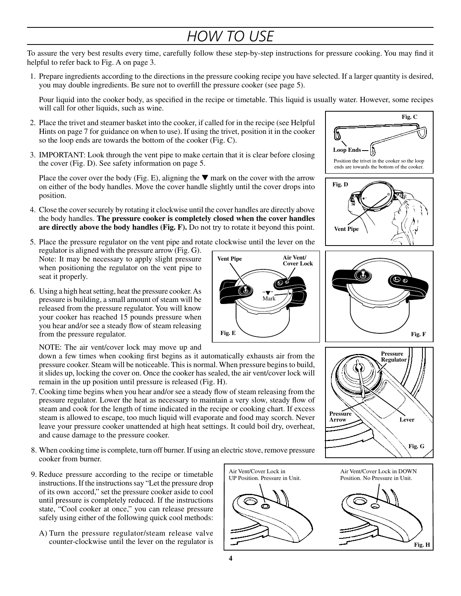# *How to Use*

To assure the very best results every time, carefully follow these step-by-step instructions for pressure cooking. You may find it helpful to refer back to Fig. A on page 3.

1. Prepare ingredients according to the directions in the pressure cooking recipe you have selected. If a larger quantity is desired, you may double ingredients. Be sure not to overfill the pressure cooker (see page 5).

 Pour liquid into the cooker body, as specified in the recipe or timetable. This liquid is usually water. However, some recipes will call for other liquids, such as wine.

- 2. Place the trivet and steamer basket into the cooker, if called for in the recipe (see Helpful Hints on page 7 for guidance on when to use). If using the trivet, position it in the cooker so the loop ends are towards the bottom of the cooker (Fig. C).
- 3. IMPORTANT: Look through the vent pipe to make certain that it is clear before closing the cover (Fig. D). See safety information on page 5.

Place the cover over the body (Fig. E), aligning the  $\nabla$  mark on the cover with the arrow on either of the body handles. Move the cover handle slightly until the cover drops into position.

- 4. Close the cover securely by rotating it clockwise until the cover handles are directly above the body handles. **The pressure cooker is completely closed when the cover handles are directly above the body handles (Fig. F).**Do not try to rotate it beyond this point.
- 5. Place the pressure regulator on the vent pipe and rotate clockwise until the lever on the

regulator is aligned with the pressure arrow (Fig. G). Note: It may be necessary to apply slight pressure when positioning the regulator on the vent pipe to seat it properly.

6. Using a high heat setting, heat the pressure cooker. As pressure is building, a small amount of steam will be released from the pressure regulator. You will know your cooker has reached 15 pounds pressure when you hear and/or see a steady flow of steam releasing from the pressure regulator.

NOTE: The air vent/cover lock may move up and

down a few times when cooking first begins as it automatically exhausts air from the pressure cooker. Steam will be noticeable. This is normal. When pressure begins to build, it slides up, locking the cover on. Once the cooker has sealed, the air vent/cover lock will remain in the up position until pressure is released (Fig. H).

- 7. Cooking time begins when you hear and/or see a steady flow of steam releasing from the pressure regulator. Lower the heat as necessary to maintain a very slow, steady flow of steam and cook for the length of time indicated in the recipe or cooking chart. If excess steam is allowed to escape, too much liquid will evaporate and food may scorch. Never leave your pressure cooker unattended at high heat settings. It could boil dry, overheat, and cause damage to the pressure cooker.
- 8. When cooking time is complete, turn off burner. If using an electric stove, remove pressure cooker from burner.
- 9. Reduce pressure according to the recipe or timetable instructions. If the instructions say "Let the pressure drop of its own accord," set the pressure cooker aside to cool until pressure is completely reduced. If the instructions state, "Cool cooker at once," you can release pressure safely using either of the following quick cool methods:
	- A) Turn the pressure regulator/steam release valve counter-clockwise until the lever on the regulator is









**Vent Pipe**



**Fig. G**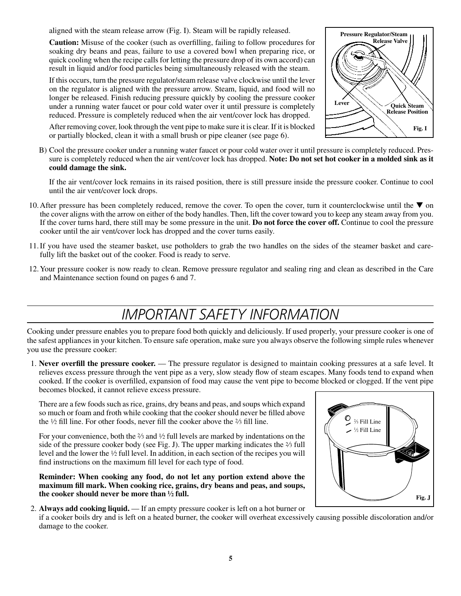aligned with the steam release arrow (Fig. I). Steam will be rapidly released.

**Caution:** Misuse of the cooker (such as overfilling, failing to follow procedures for soaking dry beans and peas, failure to use a covered bowl when preparing rice, or quick cooling when the recipe calls for letting the pressure drop of its own accord) can result in liquid and/or food particles being simultaneously released with the steam.

If this occurs, turn the pressure regulator/steam release valve clockwise until the lever on the regulator is aligned with the pressure arrow. Steam, liquid, and food will no longer be released. Finish reducing pressure quickly by cooling the pressure cooker under a running water faucet or pour cold water over it until pressure is completely reduced. Pressure is completely reduced when the air vent/cover lock has dropped.

After removing cover, look through the vent pipe to make sure it is clear. If it is blocked or partially blocked, clean it with a small brush or pipe cleaner (see page 6).

- **PRESSURE/STEAM RELEASE**<br>PRESSURE/STEAM RELEASE **Pressure Regulator/Steam Release Valve** Lever  $\bigvee$  **Quick Steam Release Position Fig. I**
- B) Cool the pressure cooker under a running water faucet or pour cold water over it until pressure is completely reduced. Pressure is completely reduced when the air vent/cover lock has dropped. **Note: Do not set hot cooker in a molded sink as it could damage the sink.**

If the air vent/cover lock remains in its raised position, there is still pressure inside the pressure cooker. Continue to cool until the air vent/cover lock drops.

- 10. After pressure has been completely reduced, remove the cover. To open the cover, turn it counterclockwise until the  $\blacktriangledown$  on the cover aligns with the arrow on either of the body handles. Then, lift the cover toward you to keep any steam away from you. If the cover turns hard, there still may be some pressure in the unit. **Do not force the cover off.**Continue to cool the pressure cooker until the air vent/cover lock has dropped and the cover turns easily.
- 11.If you have used the steamer basket, use potholders to grab the two handles on the sides of the steamer basket and carefully lift the basket out of the cooker. Food is ready to serve.
- 12. Your pressure cooker is now ready to clean. Remove pressure regulator and sealing ring and clean as described in the Care and Maintenance section found on pages 6 and 7.

# *Important Safety Information*

Cooking under pressure enables you to prepare food both quickly and deliciously. If used properly, your pressure cooker is one of the safest appliances in your kitchen. To ensure safe operation, make sure you always observe the following simple rules whenever you use the pressure cooker:

1. **Never overfill the pressure cooker.** — The pressure regulator is designed to maintain cooking pressures at a safe level. It relieves excess pressure through the vent pipe as a very, slow steady flow of steam escapes. Many foods tend to expand when cooked. If the cooker is overfilled, expansion of food may cause the vent pipe to become blocked or clogged. If the vent pipe becomes blocked, it cannot relieve excess pressure.

 There are a few foods such as rice, grains, dry beans and peas, and soups which expand so much or foam and froth while cooking that the cooker should never be filled above the  $\frac{1}{2}$  fill line. For other foods, never fill the cooker above the  $\frac{2}{3}$  fill line.

For your convenience, both the  $\frac{2}{3}$  and  $\frac{1}{2}$  full levels are marked by indentations on the side of the pressure cooker body (see Fig. J). The upper marking indicates the  $\frac{2}{3}$  full level and the lower the 1⁄2 full level. In addition, in each section of the recipes you will find instructions on the maximum fill level for each type of food.

 **Reminder: When cooking any food, do not let any portion extend above the maximum fill mark. When cooking rice, grains, dry beans and peas, and soups, the cooker should never be more than ½ full.**



if a cooker boils dry and is left on a heated burner, the cooker will overheat excessively causing possible discoloration and/or damage to the cooker.

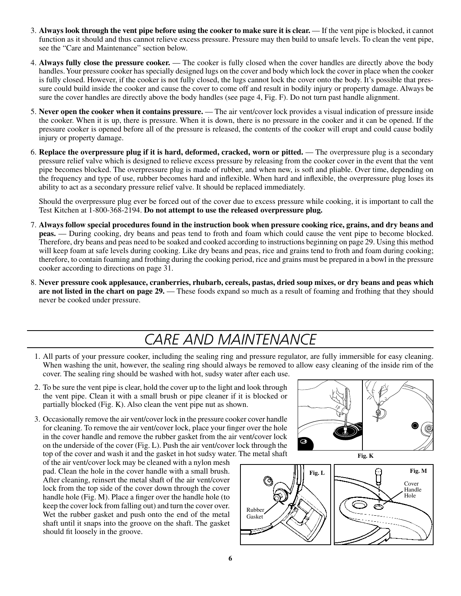- 3. **Always look through the vent pipe before using the cooker to make sure it is clear.** If the vent pipe is blocked, it cannot function as it should and thus cannot relieve excess pressure. Pressure may then build to unsafe levels. To clean the vent pipe, see the "Care and Maintenance" section below.
- 4. **Always fully close the pressure cooker.** The cooker is fully closed when the cover handles are directly above the body handles. Your pressure cooker has specially designed lugs on the cover and body which lock the cover in place when the cooker is fully closed. However, if the cooker is not fully closed, the lugs cannot lock the cover onto the body. It's possible that pressure could build inside the cooker and cause the cover to come off and result in bodily injury or property damage. Always be sure the cover handles are directly above the body handles (see page 4, Fig. F). Do not turn past handle alignment.
- 5. **Never open the cooker when it contains pressure.** The air vent/cover lock provides a visual indication of pressure inside the cooker. When it is up, there is pressure. When it is down, there is no pressure in the cooker and it can be opened. If the pressure cooker is opened before all of the pressure is released, the contents of the cooker will erupt and could cause bodily injury or property damage.
- 6. **Replace the overpressure plug if it is hard, deformed, cracked, worn or pitted.** The overpressure plug is a secondary pressure relief valve which is designed to relieve excess pressure by releasing from the cooker cover in the event that the vent pipe becomes blocked. The overpressure plug is made of rubber, and when new, is soft and pliable. Over time, depending on the frequency and type of use, rubber becomes hard and inflexible. When hard and inflexible, the overpressure plug loses its ability to act as a secondary pressure relief valve. It should be replaced immediately.

 Should the overpressure plug ever be forced out of the cover due to excess pressure while cooking, it is important to call the Test Kitchen at 1-800-368-2194. **Do not attempt to use the released overpressure plug.**

- 7. **Always follow special procedures found in the instruction book when pressure cooking rice, grains, and dry beans and peas.**— During cooking, dry beans and peas tend to froth and foam which could cause the vent pipe to become blocked. Therefore, dry beans and peas need to be soaked and cooked according to instructions beginning on page 29. Using this method will keep foam at safe levels during cooking. Like dry beans and peas, rice and grains tend to froth and foam during cooking; therefore, to contain foaming and frothing during the cooking period, rice and grains must be prepared in a bowl in the pressure cooker according to directions on page 31.
- 8. **Never pressure cook applesauce, cranberries, rhubarb, cereals, pastas, dried soup mixes, or dry beans and peas which are not listed in the chart on page 29.** — These foods expand so much as a result of foaming and frothing that they should never be cooked under pressure.

### *Care and Maintenance*

- 1. All parts of your pressure cooker, including the sealing ring and pressure regulator, are fully immersible for easy cleaning. When washing the unit, however, the sealing ring should always be removed to allow easy cleaning of the inside rim of the cover. The sealing ring should be washed with hot, sudsy water after each use.
- 2. To be sure the vent pipe is clear, hold the cover up to the light and look through the vent pipe. Clean it with a small brush or pipe cleaner if it is blocked or partially blocked (Fig. K). Also clean the vent pipe nut as shown.
- 3. Occasionally remove the air vent/cover lock in the pressure cooker cover handle for cleaning. To remove the air vent/cover lock, place your finger over the hole in the cover handle and remove the rubber gasket from the air vent/cover lock on the underside of the cover (Fig. L). Push the air vent/cover lock through the top of the cover and wash it and the gasket in hot sudsy water. The metal shaft

of the air vent/cover lock may be cleaned with a nylon mesh pad. Clean the hole in the cover handle with a small brush. After cleaning, reinsert the metal shaft of the air vent/cover lock from the top side of the cover down through the cover handle hole (Fig. M). Place a finger over the handle hole (to keep the cover lock from falling out) and turn the cover over. Wet the rubber gasket and push onto the end of the metal shaft until it snaps into the groove on the shaft. The gasket should fit loosely in the groove.





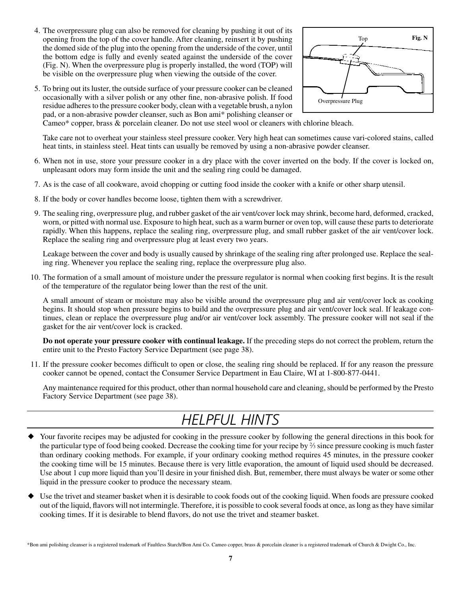4. The overpressure plug can also be removed for cleaning by pushing it out of its opening from the top of the cover handle. After cleaning, reinsert it by pushing the domed side of the plug into the opening from the underside of the cover, until the bottom edge is fully and evenly seated against the underside of the cover (Fig. N). When the overpressure plug is properly installed, the word (TOP) will be visible on the overpressure plug when viewing the outside of the cover.



5. To bring out its luster, the outside surface of your pressure cooker can be cleaned occasionally with a silver polish or any other fine, non-abrasive polish. If food residue adheres to the pressure cooker body, clean with a vegetable brush, a nylon pad, or a non-abrasive powder cleanser, such as Bon ami\* polishing cleanser or

Cameo\* copper, brass & porcelain cleaner. Do not use steel wool or cleaners with chlorine bleach.

 Take care not to overheat your stainless steel pressure cooker. Very high heat can sometimes cause vari-colored stains, called heat tints, in stainless steel. Heat tints can usually be removed by using a non-abrasive powder cleanser.

- 6. When not in use, store your pressure cooker in a dry place with the cover inverted on the body. If the cover is locked on, unpleasant odors may form inside the unit and the sealing ring could be damaged.
- 7. As is the case of all cookware, avoid chopping or cutting food inside the cooker with a knife or other sharp utensil.
- 8. If the body or cover handles become loose, tighten them with a screwdriver.
- 9. The sealing ring, overpressure plug, and rubber gasket of the air vent/cover lock may shrink, become hard, deformed, cracked, worn, or pitted with normal use. Exposure to high heat, such as a warm burner or oven top, will cause these parts to deteriorate rapidly. When this happens, replace the sealing ring, overpressure plug, and small rubber gasket of the air vent/cover lock. Replace the sealing ring and overpressure plug at least every two years.

 Leakage between the cover and body is usually caused by shrinkage of the sealing ring after prolonged use. Replace the sealing ring. Whenever you replace the sealing ring, replace the overpressure plug also.

10. The formation of a small amount of moisture under the pressure regulator is normal when cooking first begins. It is the result of the temperature of the regulator being lower than the rest of the unit.

 A small amount of steam or moisture may also be visible around the overpressure plug and air vent/cover lock as cooking begins. It should stop when pressure begins to build and the overpressure plug and air vent/cover lock seal. If leakage continues, clean or replace the overpressure plug and/or air vent/cover lock assembly. The pressure cooker will not seal if the gasket for the air vent/cover lock is cracked.

 **Do not operate your pressure cooker with continual leakage.** If the preceding steps do not correct the problem, return the entire unit to the Presto Factory Service Department (see page 38).

11. If the pressure cooker becomes difficult to open or close, the sealing ring should be replaced. If for any reason the pressure cooker cannot be opened, contact the Consumer Service Department in Eau Claire, WI at 1-800-877-0441.

 Any maintenance required for this product, other than normal household care and cleaning, should be performed by the Presto Factory Service Department (see page 38).

### *Helpful Hints*

- Your favorite recipes may be adjusted for cooking in the pressure cooker by following the general directions in this book for the particular type of food being cooked. Decrease the cooking time for your recipe by  $\frac{2}{3}$  since pressure cooking is much faster than ordinary cooking methods. For example, if your ordinary cooking method requires 45 minutes, in the pressure cooker the cooking time will be 15 minutes. Because there is very little evaporation, the amount of liquid used should be decreased. Use about 1 cup more liquid than you'll desire in your finished dish. But, remember, there must always be water or some other liquid in the pressure cooker to produce the necessary steam.
- Use the trivet and steamer basket when it is desirable to cook foods out of the cooking liquid. When foods are pressure cooked out of the liquid, flavors will not intermingle. Therefore, it is possible to cook several foods at once, as long as they have similar cooking times. If it is desirable to blend flavors, do not use the trivet and steamer basket.

\*Bon ami polishing cleanser is a registered trademark of Faultless Starch/Bon Ami Co. Cameo copper, brass & porcelain cleaner is a registered trademark of Church & Dwight Co., Inc.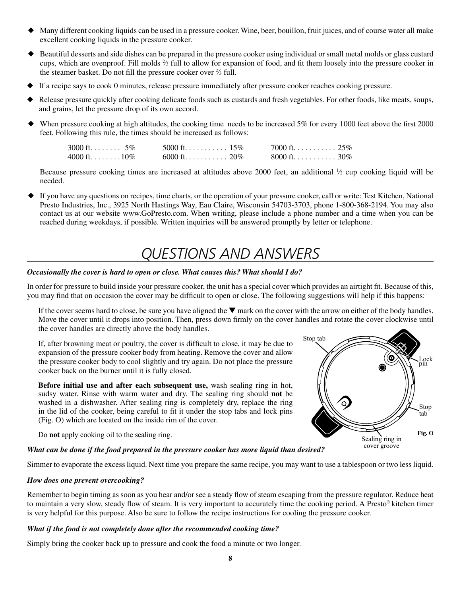- Many different cooking liquids can be used in a pressure cooker. Wine, beer, bouillon, fruit juices, and of course water all make excellent cooking liquids in the pressure cooker.
- Beautiful desserts and side dishes can be prepared in the pressure cooker using individual or small metal molds or glass custard cups, which are ovenproof. Fill molds 2 ⁄3 full to allow for expansion of food, and fit them loosely into the pressure cooker in the steamer basket. Do not fill the pressure cooker over  $\frac{2}{3}$  full.
- If a recipe says to cook 0 minutes, release pressure immediately after pressure cooker reaches cooking pressure.
- Release pressure quickly after cooking delicate foods such as custards and fresh vegetables. For other foods, like meats, soups, and grains, let the pressure drop of its own accord.
- When pressure cooking at high altitudes, the cooking time needs to be increased 5% for every 1000 feet above the first 2000 feet. Following this rule, the times should be increased as follows:

| 3000 ft $5\%$ | 5000 ft. 15% | 7000 ft 25%  |  |
|---------------|--------------|--------------|--|
| 4000 ft10\%   | 6000 ft. 20% | 8000 ft. 30% |  |

Because pressure cooking times are increased at altitudes above 2000 feet, an additional  $\frac{1}{2}$  cup cooking liquid will be needed.

 If you have any questions on recipes, time charts, or the operation of your pressure cooker, call or write: Test Kitchen, National Presto Industries, Inc., 3925 North Hastings Way, Eau Claire, Wisconsin 54703-3703, phone 1-800-368-2194. You may also contact us at our website www.GoPresto.com. When writing, please include a phone number and a time when you can be reached during weekdays, if possible. Written inquiries will be answered promptly by letter or telephone.

### *Questions AND Answers*

#### *Occasionally the cover is hard to open or close. What causes this? What should I do?*

In order for pressure to build inside your pressure cooker, the unit has a special cover which provides an airtight fit. Because of this, you may find that on occasion the cover may be difficult to open or close. The following suggestions will help if this happens:

If the cover seems hard to close, be sure you have aligned the  $\nabla$  mark on the cover with the arrow on either of the body handles. Move the cover until it drops into position. Then, press down firmly on the cover handles and rotate the cover clockwise until the cover handles are directly above the body handles.

If, after browning meat or poultry, the cover is difficult to close, it may be due to expansion of the pressure cooker body from heating. Remove the cover and allow the pressure cooker body to cool slightly and try again. Do not place the pressure cooker back on the burner until it is fully closed.

**Before initial use and after each subsequent use,** wash sealing ring in hot, sudsy water. Rinse with warm water and dry. The sealing ring should **not** be washed in a dishwasher. After sealing ring is completely dry, replace the ring in the lid of the cooker, being careful to fit it under the stop tabs and lock pins (Fig. O) which are located on the inside rim of the cover.

Do **not** apply cooking oil to the sealing ring.

### Stop tab Lock Ö. Stop tab**Fig. O** Sealing ring in cover groove

#### *What can be done if the food prepared in the pressure cooker has more liquid than desired?*

Simmer to evaporate the excess liquid. Next time you prepare the same recipe, you may want to use a tablespoon or two less liquid.

#### *How does one prevent overcooking?*

Remember to begin timing as soon as you hear and/or see a steady flow of steam escaping from the pressure regulator. Reduce heat to maintain a very slow, steady flow of steam. It is very important to accurately time the cooking period. A Presto® kitchen timer is very helpful for this purpose. Also be sure to follow the recipe instructions for cooling the pressure cooker.

#### *What if the food is not completely done after the recommended cooking time?*

Simply bring the cooker back up to pressure and cook the food a minute or two longer.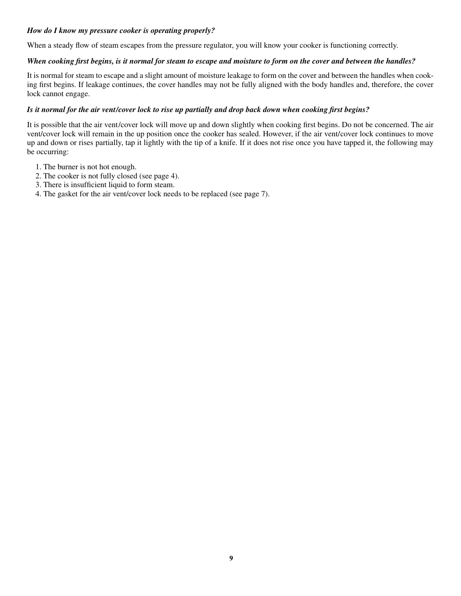#### *How do I know my pressure cooker is operating properly?*

When a steady flow of steam escapes from the pressure regulator, you will know your cooker is functioning correctly.

#### *When cooking first begins, is it normal for steam to escape and moisture to form on the cover and between the handles?*

It is normal for steam to escape and a slight amount of moisture leakage to form on the cover and between the handles when cooking first begins. If leakage continues, the cover handles may not be fully aligned with the body handles and, therefore, the cover lock cannot engage.

#### *Is it normal for the air vent/cover lock to rise up partially and drop back down when cooking first begins?*

It is possible that the air vent/cover lock will move up and down slightly when cooking first begins. Do not be concerned. The air vent/cover lock will remain in the up position once the cooker has sealed. However, if the air vent/cover lock continues to move up and down or rises partially, tap it lightly with the tip of a knife. If it does not rise once you have tapped it, the following may be occurring:

- 1. The burner is not hot enough.
- 2. The cooker is not fully closed (see page 4).
- 3. There is insufficient liquid to form steam.
- 4. The gasket for the air vent/cover lock needs to be replaced (see page 7).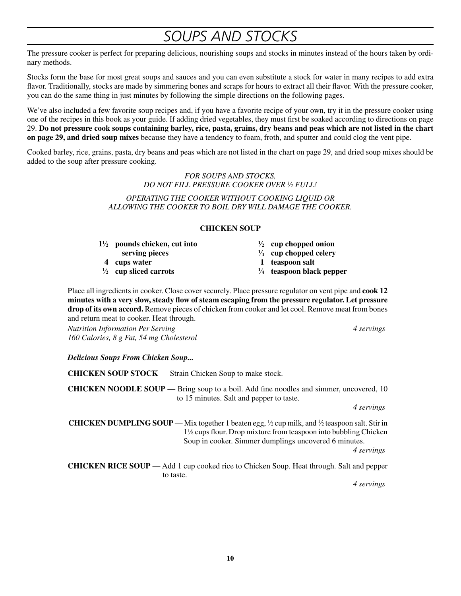### *Soups and Stocks*

The pressure cooker is perfect for preparing delicious, nourishing soups and stocks in minutes instead of the hours taken by ordinary methods.

Stocks form the base for most great soups and sauces and you can even substitute a stock for water in many recipes to add extra flavor. Traditionally, stocks are made by simmering bones and scraps for hours to extract all their flavor. With the pressure cooker, you can do the same thing in just minutes by following the simple directions on the following pages.

We've also included a few favorite soup recipes and, if you have a favorite recipe of your own, try it in the pressure cooker using one of the recipes in this book as your guide. If adding dried vegetables, they must first be soaked according to directions on page 29. **Do not pressure cook soups containing barley, rice, pasta, grains, dry beans and peas which are not listed in the chart on page 29, and dried soup mixes** because they have a tendency to foam, froth, and sputter and could clog the vent pipe.

Cooked barley, rice, grains, pasta, dry beans and peas which are not listed in the chart on page 29, and dried soup mixes should be added to the soup after pressure cooking.

> *FOR SOUPS AND STOCKS, DO NOT FILL PRESSURE COOKER OVER 1 ⁄2 FULL!*

*Operating the cooker without cooking liquid oR allowing the cooker to boil dry will damage the cooker.*

#### **CHICKEN SOUP**

|   | $1\frac{1}{2}$ pounds chicken, cut into | $\frac{1}{2}$ cup chopped onion                     |
|---|-----------------------------------------|-----------------------------------------------------|
| 4 | serving pieces<br>cups water            | $\frac{1}{4}$ cup chopped celery<br>1 teaspoon salt |
|   | $\frac{1}{2}$ cup sliced carrots        | $\frac{1}{4}$ teaspoon black pepper                 |
|   |                                         |                                                     |

Place all ingredients in cooker. Close cover securely. Place pressure regulator on vent pipe and **cook 12 minutes with a very slow, steady flow of steam escaping from the pressure regulator.Let pressure drop of its own accord.**Remove pieces of chicken from cooker and let cool. Remove meat from bones and return meat to cooker. Heat through.

*Nutrition Information Per Serving 4 servings 160 Calories, 8 g Fat, 54 mg Cholesterol*

*Delicious Soups From Chicken Soup...*

**CHICKEN SOUP STOCK** — Strain Chicken Soup to make stock.

**CHICKEN NOODLE SOUP** — Bring soup to a boil. Add fine noodles and simmer, uncovered, 10 to 15 minutes. Salt and pepper to taste.

*4 servings*

**CHICKEN DUMPLING SOUP** — Mix together 1 beaten egg,  $\frac{1}{2}$  cup milk, and  $\frac{1}{2}$  teaspoon salt. Stir in 11⁄8 cups flour. Drop mixture from teaspoon into bubbling Chicken Soup in cooker. Simmer dumplings uncovered 6 minutes.

*4 servings*

**CHICKEN RICE SOUP** — Add 1 cup cooked rice to Chicken Soup. Heat through. Salt and pepper to taste.

*4 servings*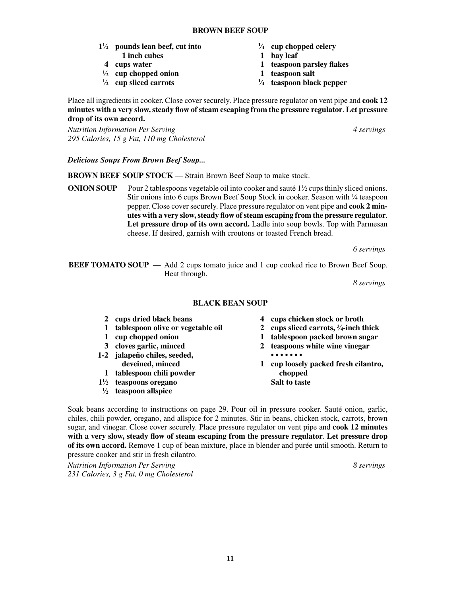#### **BROWN BEEF SOUP**

- **1**<sup> $1/2$ </sup> **pounds lean beef, cut into**  $\frac{1}{2}$
- 
- 
- 
- **1 ⁄2 cup sliced carrots <sup>1</sup>**
- **⁄4 cup chopped celery**
- **1 inch cubes 1 bay leaf**
- **4 cups water 1 teaspoon parsley flakes**
- **1 ⁄2 cup chopped onion 1 teaspoon salt**
	- **⁄4 teaspoon black pepper**

Place all ingredients in cooker. Close cover securely. Place pressure regulator on vent pipe and **cook 12 minutes with a very slow, steady flow of steam escaping from the pressure regulator**. **Let pressure drop of its own accord.**

*Nutrition Information Per Serving 4 servings 295 Calories, 15 g Fat, 110 mg Cholesterol*

*Delicious Soups From Brown Beef Soup...*

**BROWN BEEF SOUP STOCK** — Strain Brown Beef Soup to make stock.

**ONION SOUP** — Pour 2 tablespoons vegetable oil into cooker and sauté  $1\frac{1}{2}$  cups thinly sliced onions. Stir onions into 6 cups Brown Beef Soup Stock in cooker. Season with  $\frac{1}{4}$  teaspoon pepper. Close cover securely. Place pressure regulator on vent pipe and **cook 2 minutes with a very slow, steady flow of steam escaping from the pressure regulator**. **Let pressure drop of its own accord.** Ladle into soup bowls. Top with Parmesan cheese. If desired, garnish with croutons or toasted French bread.

*6 servings*

**BEEF TOMATO SOUP** — Add 2 cups tomato juice and 1 cup cooked rice to Brown Beef Soup. Heat through.

*8 servings*

#### **Black Bean Soup**

- 
- **1 tablespoon olive or vegetable oil**
- 
- 
- **1-2 jalapeño chiles, seeded, • • • • • • •**
- **1 tablespoon chili powder chopped**
- **11 ⁄2 teaspoons oregano Salt to taste**
- **1 ⁄2 teaspoon allspice**
- **2 cups dried black beans 4 cups chicken stock or broth**
	- **⁄4-inch thick**
- **1 cup chopped onion 1 tablespoon packed brown sugar**
- **3 cloves garlic, minced 2 teaspoons white wine vinegar**
	- **deveined, minced 1 cup loosely packed fresh cilantro,**
		-

Soak beans according to instructions on page 29. Pour oil in pressure cooker. Sauté onion, garlic, chiles, chili powder, oregano, and allspice for 2 minutes. Stir in beans, chicken stock, carrots, brown sugar, and vinegar. Close cover securely. Place pressure regulator on vent pipe and **cook 12 minutes with a very slow, steady flow of steam escaping from the pressure regulator**. **Let pressure drop of its own accord.** Remove 1 cup of bean mixture, place in blender and purée until smooth. Return to pressure cooker and stir in fresh cilantro.

*Nutrition Information Per Serving 8 servings 231 Calories, 3 g Fat, 0 mg Cholesterol*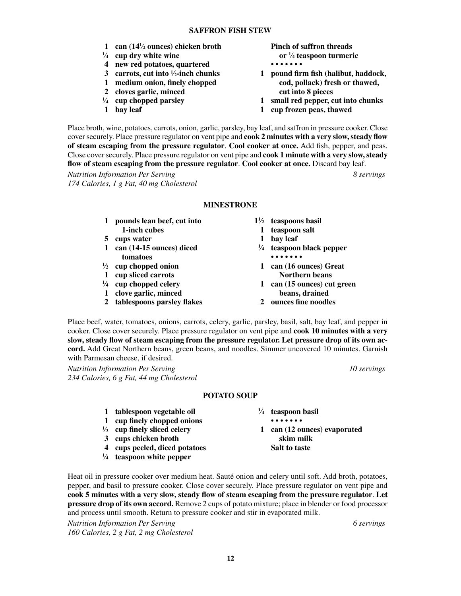- **1 can (141**
- $\frac{1}{4}$  cup dry white wine or  $\frac{1}{4}$
- **4 new red potatoes, quartered • • • • • • •**
- **3 carrots, cut into <sup>1</sup>/<sub>2</sub>-inch chunks**
- 
- **2 cloves garlic, minced cut into 8 pieces**
- $\frac{1}{4}$  cup chopped parsley
- 
- **Pinch of saffron threads ⁄4 teaspoon turmeric**
- **⁄2-inch chunks 1 pound firm fish (halibut, haddock, 1 medium onion, finely chopped cod, pollack) fresh or thawed,** 
	- **⁄4 cup chopped parsley 1 small red pepper, cut into chunks**
- **1 bay leaf 1 cup frozen peas, thawed**

Place broth, wine, potatoes, carrots, onion, garlic, parsley, bay leaf, and saffron in pressure cooker. Close cover securely. Place pressure regulator on vent pipe and **cook 2 minutes with a very slow, steady flow of steam escaping from the pressure regulator**. **Cool cooker at once.** Add fish, pepper, and peas. Close cover securely. Place pressure regulator on vent pipe and **cook 1 minute with a very slow, steady flow of steam escaping from the pressure regulator**. **Cool cooker at once.** Discard bay leaf.

*Nutrition Information Per Serving 8 servings 174 Calories, 1 g Fat, 40 mg Cholesterol*

#### **MINESTRONE**

|              | pounds lean beef, cut into       |   | $1\frac{1}{2}$ teaspoons basil      |
|--------------|----------------------------------|---|-------------------------------------|
|              | 1-inch cubes                     |   | teaspoon salt                       |
|              | cups water                       |   | bay leaf                            |
| $\mathbf 1$  | can (14-15 ounces) diced         |   | $\frac{1}{4}$ teaspoon black pepper |
|              | tomatoes                         |   |                                     |
|              | $\frac{1}{2}$ cup chopped onion  | 1 | can (16 ounces) Great               |
| 1            | cup sliced carrots               |   | <b>Northern beans</b>               |
|              | $\frac{1}{4}$ cup chopped celery | 1 | can (15 ounces) cut green           |
| $\mathbf{1}$ | clove garlic, minced             |   | beans, drained                      |
|              | 2 tablespoons parsley flakes     |   | ounces fine noodles                 |

Place beef, water, tomatoes, onions, carrots, celery, garlic, parsley, basil, salt, bay leaf, and pepper in cooker. Close cover securely. Place pressure regulator on vent pipe and **cook 10 minutes with a very slow, steady flow of steam escaping from the pressure regulator.Let pressure drop of its own accord.** Add Great Northern beans, green beans, and noodles. Simmer uncovered 10 minutes. Garnish with Parmesan cheese, if desired.

*Nutrition Information Per Serving 10 servings 234 Calories, 6 g Fat, 44 mg Cholesterol*

#### **POTATO SOUP**

| 1 tablespoon vegetable oil             |   | $\frac{1}{4}$ teaspoon basil |
|----------------------------------------|---|------------------------------|
| 1 cup finely chopped onions            |   | .                            |
| $\frac{1}{2}$ cup finely sliced celery | 1 | can (12 ounces) evaporated   |
| 3 cups chicken broth                   |   | skim milk                    |
| 4 cups peeled, diced potatoes          |   | <b>Salt to taste</b>         |
| $\frac{1}{4}$ teaspoon white pepper    |   |                              |

Heat oil in pressure cooker over medium heat. Sauté onion and celery until soft. Add broth, potatoes, pepper, and basil to pressure cooker. Close cover securely. Place pressure regulator on vent pipe and **cook 5 minutes with a very slow, steady flow of steam escaping from the pressure regulator**. **Let pressure drop of its own accord.** Remove 2 cups of potato mixture; place in blender or food processor and process until smooth. Return to pressure cooker and stir in evaporated milk.

*Nutrition Information Per Serving 6 servings 160 Calories, 2 g Fat, 2 mg Cholesterol*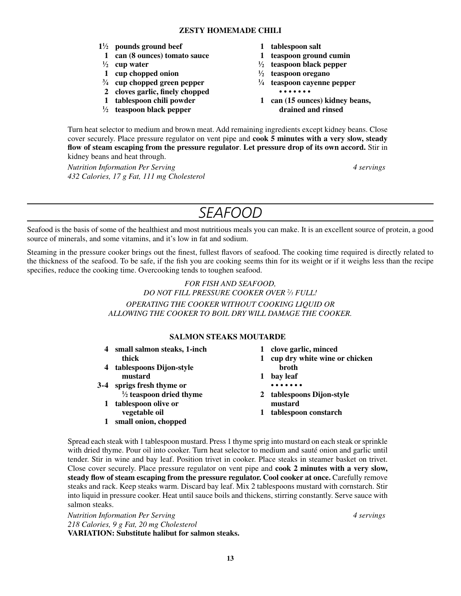#### **ZESTY HOMEMADE CHILI**

- **11 ⁄2 pounds ground beef 1 tablespoon salt**
- **1 can (8 ounces) tomato sauce 1 teaspoon ground cumin**
- $\frac{1}{2}$  **cup water**  $\frac{1}{2}$
- **1 cup chopped onion**  $\frac{1}{2}$
- **3 ⁄4 cup chopped green pepper <sup>1</sup>**
- **2 cloves garlic, finely chopped • • • • • • •**
- 
- <sup>1</sup>/<sub>2</sub> **teaspoon black pepper** drained and rinsed
- 
- 
- **⁄2 teaspoon black pepper**
- **⁄2 teaspoon oregano**
- **⁄4 teaspoon cayenne pepper**
- **1 tablespoon chili powder 1 can (15 ounces) kidney beans,**

Turn heat selector to medium and brown meat. Add remaining ingredients except kidney beans. Close cover securely. Place pressure regulator on vent pipe and **cook 5 minutes with a very slow, steady flow of steam escaping from the pressure regulator**. **Let pressure drop of its own accord.** Stir in kidney beans and heat through.

*Nutrition Information Per Serving 4 servings 432 Calories, 17 g Fat, 111 mg Cholesterol*

# *Seafood*

Seafood is the basis of some of the healthiest and most nutritious meals you can make. It is an excellent source of protein, a good source of minerals, and some vitamins, and it's low in fat and sodium.

Steaming in the pressure cooker brings out the finest, fullest flavors of seafood. The cooking time required is directly related to the thickness of the seafood. To be safe, if the fish you are cooking seems thin for its weight or if it weighs less than the recipe specifies, reduce the cooking time. Overcooking tends to toughen seafood.

> *FOR FISH AND SEAFOOD, DO NOT FILL PRESSURE COOKER OVER 2 ⁄3 FULL! Operating the cooker without cooking liquid oR allowing the cooker to boil dry will damage the cooker.*

#### **Salmon Steaks Moutarde**

- **4 small salmon steaks, 1-inch 1 clove garlic, minced**
- **4 tablespoons Dijon-style mustard 1 bay leaf**
- **3-4 sprigs fresh thyme or • • • • • • •**  $\frac{1}{2}$  teaspoon dried thyme
	- **1 tablespoon olive or mustard**
		-
	- **1 small onion, chopped**
- 
- **thick 1 cup dry white wine or chicken**<br>blespoons Dijon-style **1 cup dry white wine or chicken** 
	-
	-
	- **2 tablespoons Dijon-style**
- **vegetable oil 1 tablespoon constarch**

Spread each steak with 1 tablespoon mustard. Press 1 thyme sprig into mustard on each steak or sprinkle with dried thyme. Pour oil into cooker. Turn heat selector to medium and sauté onion and garlic until tender. Stir in wine and bay leaf. Position trivet in cooker. Place steaks in steamer basket on trivet. Close cover securely. Place pressure regulator on vent pipe and **cook 2 minutes with a very slow, steady flow of steam escaping from the pressure regulator.Cool cooker at once.** Carefully remove steaks and rack. Keep steaks warm. Discard bay leaf. Mix 2 tablespoons mustard with cornstarch. Stir into liquid in pressure cooker. Heat until sauce boils and thickens, stirring constantly. Serve sauce with salmon steaks.

*Nutrition Information Per Serving 4 servings 218 Calories, 9 g Fat, 20 mg Cholesterol* **VARIATION: Substitute halibut for salmon steaks.**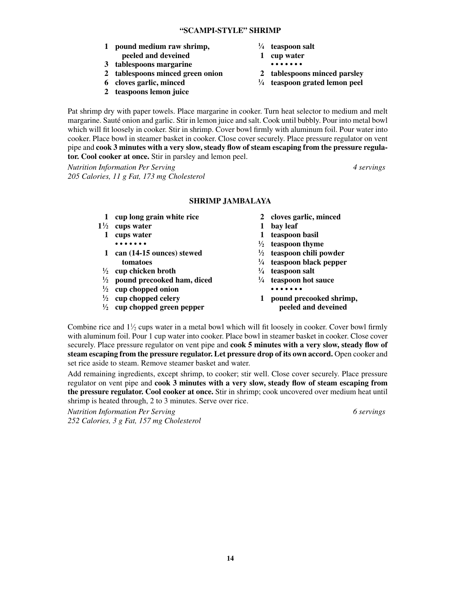- **1 pound medium raw shrimp, <sup>1</sup> peeled and deveined 1 cup water**
- **3 tablespoons margarine • • • • • • •**
- **2 tablespoons minced green onion 2 tablespoons minced parsley**
- **6 cloves garlic, minced <sup>1</sup>**
- **2 teaspoons lemon juice**
- **⁄4 teaspoon salt**
- -
- 
- **⁄4 teaspoon grated lemon peel**

Pat shrimp dry with paper towels. Place margarine in cooker. Turn heat selector to medium and melt margarine. Sauté onion and garlic. Stir in lemon juice and salt. Cook until bubbly. Pour into metal bowl which will fit loosely in cooker. Stir in shrimp. Cover bowl firmly with aluminum foil. Pour water into cooker. Place bowl in steamer basket in cooker. Close cover securely. Place pressure regulator on vent pipe and **cook 3 minutes with a very slow, steady flow of steam escaping from the pressure regulator.Cool cooker at once.** Stir in parsley and lemon peel.

*Nutrition Information Per Serving 4 servings 205 Calories, 11 g Fat, 173 mg Cholesterol*

#### **SHRIMP JAMBALAYA**

- **1 cup long grain white rice 2 cloves garlic, minced**
- **11 ⁄2 cups water 1 bay leaf**
	-
	- **• • • • • • • <sup>1</sup> 1 can (14-15 ounces) stewed <sup>1</sup>**  $t$ omatoes  $\frac{1}{4}$
	- **1 ⁄2 cup chicken broth <sup>1</sup>**
	- **1 ⁄2 pound precooked ham, diced <sup>1</sup>**
- **1 ⁄2 cup chopped onion • • • • • • •**
- $\frac{1}{2}$  cup chopped celery
- **1 ⁄2 cup chopped green pepper peeled and deveined**
- 
- 
- **1 cups water 1 teaspoon basil**
	- **⁄2 teaspoon thyme**
	- **⁄2 teaspoon chili powder**
	- **⁄4 teaspoon black pepper**
	- **⁄4 teaspoon salt**
	- **⁄4 teaspoon hot sauce**
	- **⁄2 cup chopped celery 1 pound precooked shrimp,**

Combine rice and  $1\frac{1}{2}$  cups water in a metal bowl which will fit loosely in cooker. Cover bowl firmly with aluminum foil. Pour 1 cup water into cooker. Place bowl in steamer basket in cooker. Close cover securely. Place pressure regulator on vent pipe and **cook 5 minutes with a very slow, steady flow of steam escaping from the pressure regulator.Let pressure drop of its own accord.** Open cooker and set rice aside to steam. Remove steamer basket and water.

Add remaining ingredients, except shrimp, to cooker; stir well. Close cover securely. Place pressure regulator on vent pipe and **cook 3 minutes with a very slow, steady flow of steam escaping from the pressure regulator.Cool cooker at once.** Stir in shrimp; cook uncovered over medium heat until shrimp is heated through, 2 to 3 minutes. Serve over rice.

*Nutrition Information Per Serving 6 servings 252 Calories, 3 g Fat, 157 mg Cholesterol*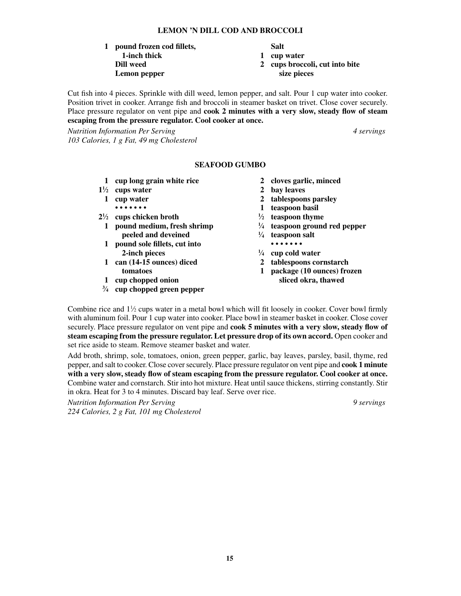**15**

### **1 pound frozen cod fillets, Salt**

**Dill weed 2 cups broccoli, cut into bite**

**Lemon pepper size pieces**

Cut fish into 4 pieces. Sprinkle with dill weed, lemon pepper, and salt. Pour 1 cup water into cooker. Position trivet in cooker. Arrange fish and broccoli in steamer basket on trivet. Close cover securely. Place pressure regulator on vent pipe and **cook 2 minutes with a very slow, steady flow of steam escaping from the pressure regulator.Cool cooker at once.**

**SEAFOOD GUMBO**

*Nutrition Information Per Serving 4 servings 103 Calories, 1 g Fat, 49 mg Cholesterol*

 **2-inch pieces <sup>1</sup>**

**3 ⁄4 cup chopped green pepper**

#### **1 cup long grain white rice 2 cloves garlic, minced**

- **11 ⁄2 cups water 2 bay leaves**
	- **1 cup water 2 tablespoons parsley**
		- **• • • • • • • 1 teaspoon basil**
- **21 ⁄2 cups chicken broth <sup>1</sup> ⁄2 teaspoon thyme**
	- **1 pound medium, fresh shrimp <sup>1</sup> ⁄4 teaspoon ground red pepper**
		- **peeled and deveined 1**/<sub>4</sub> **⁄4 teaspoon salt**
	- **1 pound sole fillets, cut into • • • • • • • ⁄4 cup cold water**
	- **1 can (14-15 ounces) diced 2 tablespoons cornstarch**
		-
	- **tomatoes 1 package (10 ounces) frozen 1 cup chopped onion sliced okra, thawed**

Combine rice and  $1\frac{1}{2}$  cups water in a metal bowl which will fit loosely in cooker. Cover bowl firmly with aluminum foil. Pour 1 cup water into cooker. Place bowl in steamer basket in cooker. Close cover securely. Place pressure regulator on vent pipe and **cook 5 minutes with a very slow, steady flow of steam escaping from the pressure regulator.Let pressure drop of its own accord.** Open cooker and set rice aside to steam. Remove steamer basket and water.

Add broth, shrimp, sole, tomatoes, onion, green pepper, garlic, bay leaves, parsley, basil, thyme, red pepper, and salt to cooker. Close cover securely. Place pressure regulator on vent pipe and **cook 1 minute with a very slow, steady flow of steam escaping from the pressure regulator.Cool cooker at once.** Combine water and cornstarch. Stir into hot mixture. Heat until sauce thickens, stirring constantly. Stir in okra. Heat for 3 to 4 minutes. Discard bay leaf. Serve over rice.

*Nutrition Information Per Serving 9 servings 224 Calories, 2 g Fat, 101 mg Cholesterol*

 **1-inch thick 1 cup water**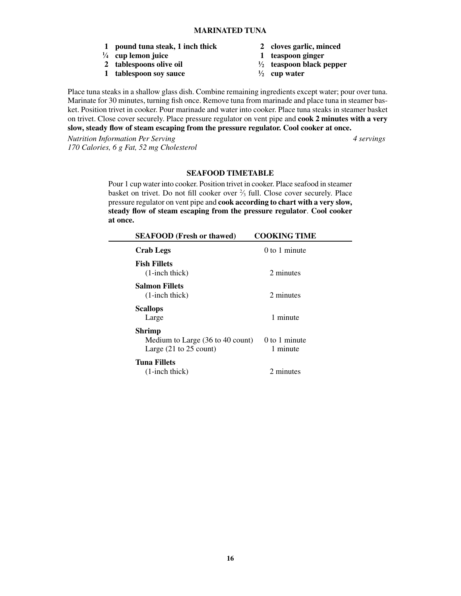- **1 pound tuna steak, 1 inch thick 2 cloves garlic, minced**
- <sup>1</sup>/<sub>4</sub> cup lemon juice
- **2 tablespoons olive oil <sup>1</sup>**
- **1 tablespoon soy sauce <sup>1</sup>**
- 
- **⁄4 cup lemon juice 1 teaspoon ginger**
- **⁄2 teaspoon black pepper**
- **⁄2 cup water**

Place tuna steaks in a shallow glass dish. Combine remaining ingredients except water; pour over tuna. Marinate for 30 minutes, turning fish once. Remove tuna from marinade and place tuna in steamer basket. Position trivet in cooker. Pour marinade and water into cooker. Place tuna steaks in steamer basket on trivet. Close cover securely. Place pressure regulator on vent pipe and **cook 2 minutes with a very slow, steady flow of steam escaping from the pressure regulator.Cool cooker at once.**

*Nutrition Information Per Serving 4 servings 170 Calories, 6 g Fat, 52 mg Cholesterol*

#### **SEAFOOD TIMETABLE**

Pour 1 cup water into cooker. Position trivet in cooker. Place seafood in steamer basket on trivet. Do not fill cooker over 2 ⁄3 full. Close cover securely. Place pressure regulator on vent pipe and **cook according to chart with a very slow, steady flow of steam escaping from the pressure regulator**. **Cool cooker at once.**

| <b>SEAFOOD</b> (Fresh or thawed)                                                                           | <b>COOKING TIME</b>         |
|------------------------------------------------------------------------------------------------------------|-----------------------------|
| <b>Crab Legs</b>                                                                                           | $0$ to 1 minute             |
| <b>Fish Fillets</b><br>$(1\text{-inch thick})$                                                             | 2 minutes                   |
| <b>Salmon Fillets</b><br>$(1\text{-inch thick})$                                                           | 2 minutes                   |
| <b>Scallops</b><br>Large                                                                                   | 1 minute                    |
| Shrimp<br>Medium to Large $(36 \text{ to } 40 \text{ count})$<br>Large $(21 \text{ to } 25 \text{ count})$ | $0$ to 1 minute<br>1 minute |
| <b>Tuna Fillets</b><br>$(1\text{-inch thick})$                                                             | 2 minutes                   |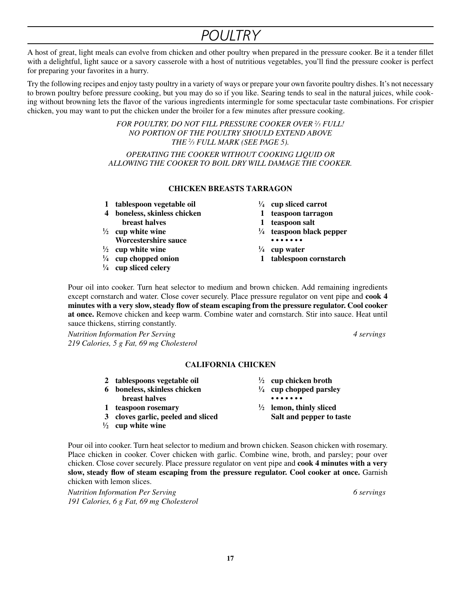# *Poultry*

A host of great, light meals can evolve from chicken and other poultry when prepared in the pressure cooker. Be it a tender fillet with a delightful, light sauce or a savory casserole with a host of nutritious vegetables, you'll find the pressure cooker is perfect for preparing your favorites in a hurry.

Try the following recipes and enjoy tasty poultry in a variety of ways or prepare your own favorite poultry dishes. It's not necessary to brown poultry before pressure cooking, but you may do so if you like. Searing tends to seal in the natural juices, while cooking without browning lets the flavor of the various ingredients intermingle for some spectacular taste combinations. For crispier chicken, you may want to put the chicken under the broiler for a few minutes after pressure cooking.

> *FOR POULTRY, DO NOT FILL PRESSURE COOKER OVER 2 ⁄3 FULL! NO PORTION OF THE POULTRY SHOULD EXTEND ABOVE THE 2 ⁄3 FULL MARK (SEE PAGE 5). Operating the cooker without cooking liquid oR allowing the cooker to boil dry will damage the cooker.*

#### **CHICKEN BREASTS TARRAGON**

- **1 tablespoon vegetable oil <sup>1</sup>**
- **4 boneless, skinless chicken 1 teaspoon tarragon**
- 
- $\frac{1}{2}$  **cup white wine**  $\frac{1}{2}$ **Worcestershire** sauce **•••••••**
- $\frac{1}{2}$  **cup white wine**  $\frac{1}{2}$
- $\frac{1}{4}$  cup chopped onion
- **1 ⁄4 cup sliced celery**
- **⁄4 cup sliced carrot**
- 
- **breast halves 1 teaspoon salt**
	- **⁄4 teaspoon black pepper**
		-
	- **⁄4 cup water**
	- **⁄4 cup chopped onion 1 tablespoon cornstarch**

Pour oil into cooker. Turn heat selector to medium and brown chicken. Add remaining ingredients except cornstarch and water. Close cover securely. Place pressure regulator on vent pipe and **cook 4 minutes with a very slow, steady flow of steam escaping from the pressure regulator.Cool cooker at once.** Remove chicken and keep warm. Combine water and cornstarch. Stir into sauce. Heat until sauce thickens, stirring constantly.

*Nutrition Information Per Serving 4 servings 219 Calories, 5 g Fat, 69 mg Cholesterol*

#### **CALIFORNIA CHICKEN**

- **2 tablespoons vegetable oil <sup>1</sup>**
- **6 boneless, skinless chicken <sup>1</sup>**
- 
- **1 teaspoon rosemary <sup>1</sup>**
- **3 cloves garlic, peeled and sliced Salt and pepper to taste**
- **1 ⁄2 cup white wine**
- **⁄2 cup chicken broth**
- **⁄4 cup chopped parsley breast halves** ••••••••
	- **⁄2 lemon, thinly sliced**

Pour oil into cooker. Turn heat selector to medium and brown chicken. Season chicken with rosemary. Place chicken in cooker. Cover chicken with garlic. Combine wine, broth, and parsley; pour over chicken. Close cover securely. Place pressure regulator on vent pipe and **cook 4 minutes with a very slow, steady flow of steam escaping from the pressure regulator.Cool cooker at once.**Garnish chicken with lemon slices.

*Nutrition Information Per Serving 6 servings 191 Calories, 6 g Fat, 69 mg Cholesterol*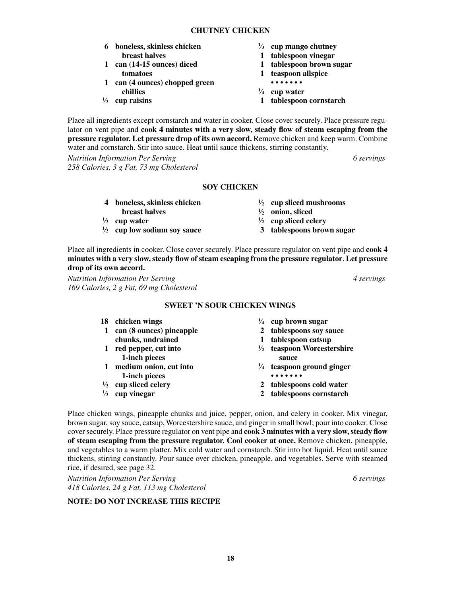**18**

#### **Chutney CHICKEN**

- **6 boneless, skinless chicken <sup>1</sup> breast halves 1 tablespoon vinegar**
- **1 can (14-15 ounces) diced 1 tablespoon brown sugar tomatoes 1 teaspoon allspice**
- **1 can (4 ounces) chopped green • • • • • • • chillies <sup>1</sup>**
- $\frac{1}{2}$  cup raisins
- **⁄3 cup mango chutney**
	-
	-
	-
	-
- **⁄4 cup water**
- **⁄2 cup raisins 1 tablespoon cornstarch**

**⁄2 cup sliced mushrooms**

**⁄2 onion, sliced**

**⁄2 cup sliced celery**

Place all ingredients except cornstarch and water in cooker. Close cover securely. Place pressure regulator on vent pipe and **cook 4 minutes with a very slow, steady flow of steam escaping from the pressure regulator.Let pressure drop of its own accord.** Remove chicken and keep warm. Combine water and cornstarch. Stir into sauce. Heat until sauce thickens, stirring constantly.

*Nutrition Information Per Serving 6 servings 258 Calories, 3 g Fat, 73 mg Cholesterol*

#### **SOY CHICKEN**

- **4 boneless, skinless chicken <sup>1</sup>**
- **breast halves**
- $\frac{1}{2}$  **cup water**  $\frac{1}{2}$
- **1 ⁄2 cup low sodium soy sauce 3 tablespoons brown sugar**

Place all ingredients in cooker. Close cover securely. Place pressure regulator on vent pipe and **cook 4 minutes with a very slow, steady flow of steam escaping from the pressure regulator**. **Let pressure drop of its own accord.**

*Nutrition Information Per Serving 4 servings 169 Calories, 2 g Fat, 69 mg Cholesterol*

#### **SWEET 'N SOUR CHICKEN WINGS**

- **18 chicken wings <sup>1</sup>**
- **1 can (8 ounces) pineapple 2 tablespoons soy sauce chunks, undrained 1 tablespoon catsup**
- **1 red pepper, cut into**  $\frac{1}{2}$ **1-inch pieces** sauce
- **1 medium onion, cut into <sup>1</sup> 1-inch pieces**
- $\frac{1}{2}$  cup sliced celery
- $\frac{1}{3}$  cup vinegar
- **⁄4 cup brown sugar**
- 
- 
- **⁄2 teaspoon Worcestershire**
- **⁄4 teaspoon ground ginger**
- **⁄2 cup sliced celery 2 tablespoons cold water**
- **⁄3 cup vinegar 2 tablespoons cornstarch**

Place chicken wings, pineapple chunks and juice, pepper, onion, and celery in cooker. Mix vinegar, brown sugar, soy sauce, catsup, Worcestershire sauce, and ginger in small bowl; pour into cooker. Close cover securely. Place pressure regulator on vent pipe and **cook 3 minutes with a very slow, steady flow of steam escaping from the pressure regulator.Cool cooker at once.** Remove chicken, pineapple, and vegetables to a warm platter. Mix cold water and cornstarch. Stir into hot liquid. Heat until sauce thickens, stirring constantly. Pour sauce over chicken, pineapple, and vegetables. Serve with steamed rice, if desired, see page 32.

*Nutrition Information Per Serving 6 servings 418 Calories, 24 g Fat, 113 mg Cholesterol*

#### **NOTE: DO NOT INCREASE THIS RECIPE**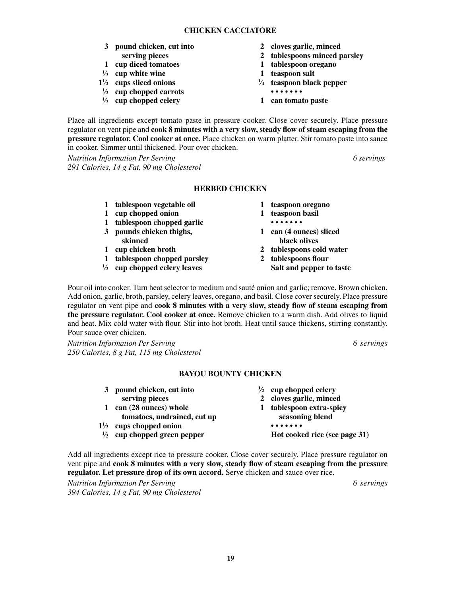#### **CHICKEN CACCIATORE**

- **3 pound chicken, cut into 2 cloves garlic, minced**
- 
- 
- **1 ⁄3 cup white wine 1 teaspoon salt**
- **11 ⁄2 cups sliced onions <sup>1</sup>**
- **1 ⁄2 cup chopped carrots • • • • • • •**
- **1 ⁄2 cup chopped celery 1 can tomato paste**
- 
- **serving pieces 2 tablespoons minced parsley**
- **1 cup diced tomatoes 1 tablespoon oregano**
	-
	- **⁄4 teaspoon black pepper**
	-
	-

Place all ingredients except tomato paste in pressure cooker. Close cover securely. Place pressure regulator on vent pipe and **cook 8 minutes with a very slow, steady flow of steam escaping from the pressure regulator.Cool cooker at once.** Place chicken on warm platter. Stir tomato paste into sauce in cooker. Simmer until thickened. Pour over chicken.

*Nutrition Information Per Serving 6 servings 291 Calories, 14 g Fat, 90 mg Cholesterol*

#### **HERBED CHICKEN**

- **1 tablespoon vegetable oil 1 teaspoon oregano**
- **1 cup chopped onion 1 teaspoon basil**
- **1 tablespoon chopped garlic • • • • • • •**
- **3 pounds chicken thighs, 1 can (4 ounces) sliced**
- 
- 
- **1 tablespoon chopped parsley 2 tablespoons flour**
- <sup>1</sup>/<sub>2</sub> **cup chopped celery leaves Salt and pepper to taste**
- 
- 
- **example 1 skinned** black olives
- **1 cup chicken broth 2 tablespoons cold water**
	- -

Pour oil into cooker. Turn heat selector to medium and sauté onion and garlic; remove. Brown chicken. Add onion, garlic, broth, parsley, celery leaves, oregano, and basil. Close cover securely. Place pressure regulator on vent pipe and **cook 8 minutes with a very slow, steady flow of steam escaping from the pressure regulator. Cool cooker at once.** Remove chicken to a warm dish. Add olives to liquid and heat. Mix cold water with flour. Stir into hot broth. Heat until sauce thickens, stirring constantly. Pour sauce over chicken.

*Nutrition Information Per Serving 6 servings 250 Calories, 8 g Fat, 115 mg Cholesterol*

#### **Bayou Bounty Chicken**

| 3 pound chicken, cut into              | $\frac{1}{2}$ cup chopped celery |
|----------------------------------------|----------------------------------|
| serving pieces                         | 2 cloves garlic, minced          |
| can (28 ounces) whole                  | 1 tablespoon extra-spicy         |
| tomatoes, undrained, cut up            | seasoning blend                  |
| $1\frac{1}{2}$ cups chopped onion      |                                  |
| $\frac{1}{2}$ cup chopped green pepper | Hot cooked rice (see page 31)    |
|                                        |                                  |

Add all ingredients except rice to pressure cooker. Close cover securely. Place pressure regulator on vent pipe and **cook 8 minutes with a very slow, steady flow of steam escaping from the pressure regulator.Let pressure drop of its own accord.** Serve chicken and sauce over rice.

*Nutrition Information Per Serving 6 servings 394 Calories, 14 g Fat, 90 mg Cholesterol*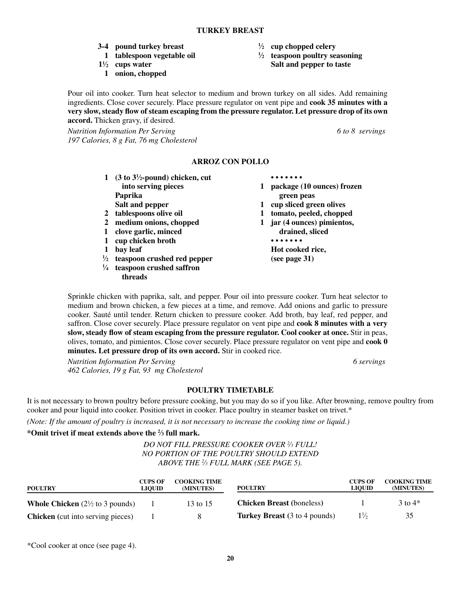- **3-4 pound turkey breast <sup>1</sup>**
- **1 tablespoon vegetable oil <sup>1</sup>**
- 1<sup>1</sup>/<sub>2</sub> cups water
	- **1 onion, chopped**
- **⁄2 cup chopped celery**
- **⁄2 teaspoon poultry seasoning Salt and pepper to taste**

Pour oil into cooker. Turn heat selector to medium and brown turkey on all sides. Add remaining ingredients. Close cover securely. Place pressure regulator on vent pipe and **cook 35 minutes with a very slow, steady flow of steam escaping from the pressure regulator.Let pressure drop of its own accord.** Thicken gravy, if desired.

*Nutrition Information Per Serving 6 to 8 servings 197 Calories, 8 g Fat, 76 mg Cholesterol*

#### **Arroz Con Pollo**

- **1 (3 to 31 ⁄2-pound) chicken, cut • • • • • • • into serving pieces 1 package (10 ounces) frozen Paprika green peas**
- 
- 
- **1 clove garlic, minced drained, sliced**
- **1 cup chicken broth • • • • • • •**
- 
- **1 ⁄2 teaspoon crushed red pepper (see page 31)**
- **1 ⁄4 teaspoon crushed saffron threads**
- 
- 
- **Salt and pepper 1 cup sliced green olives**
- **2 tablespoons olive oil 1 tomato, peeled, chopped**
- **2 medium onions, chopped 1 jar (4 ounces) pimientos,**
- **1 bay leaf Hot cooked rice,**

Sprinkle chicken with paprika, salt, and pepper. Pour oil into pressure cooker. Turn heat selector to medium and brown chicken, a few pieces at a time, and remove. Add onions and garlic to pressure cooker. Sauté until tender. Return chicken to pressure cooker. Add broth, bay leaf, red pepper, and saffron. Close cover securely. Place pressure regulator on vent pipe and **cook 8 minutes with a very slow, steady flow of steam escaping from the pressure regulator.Cool cooker at once.**Stir in peas, olives, tomato, and pimientos. Close cover securely. Place pressure regulator on vent pipe and **cook 0 minutes.Let pressure drop of its own accord.** Stir in cooked rice.

*Nutrition Information Per Serving 6 servings 462 Calories, 19 g Fat, 93 mg Cholesterol*

#### **POULTRY TIMETABLE**

It is not necessary to brown poultry before pressure cooking, but you may do so if you like. After browning, remove poultry from cooker and pour liquid into cooker. Position trivet in cooker. Place poultry in steamer basket on trivet.\*

*(Note: If the amount of poultry is increased, it is not necessary to increase the cooking time or liquid.)*

#### **\*Omit trivet if meat extends above the 2 ⁄3 full mark.**

### *DO NOT FILL PRESSURE COOKER OVER 2 ⁄3 FULL! NO PORTION OF THE poultry SHOULD EXTEND ABOVE THE 2 ⁄3 FULL MARK (SEE PAGE 5).*

| <b>POULTRY</b>                                     | <b>CUPS OF</b><br><b>LIOUID</b> | <b>COOKING TIME</b><br>(MINUTES) | <b>POULTRY</b>                       | <b>CUPS OF</b><br><b>LIOUID</b> | <b>COOKING TIME</b><br>(MINUTES) |
|----------------------------------------------------|---------------------------------|----------------------------------|--------------------------------------|---------------------------------|----------------------------------|
| <b>Whole Chicken</b> $(2\frac{1}{2})$ to 3 pounds) |                                 | 13 to 15                         | <b>Chicken Breast (boneless)</b>     |                                 | $3$ to $4*$                      |
| <b>Chicken</b> (cut into serving pieces)           |                                 |                                  | <b>Turkey Breast</b> (3 to 4 pounds) | $1\frac{1}{2}$                  | 35                               |

\*Cool cooker at once (see page 4).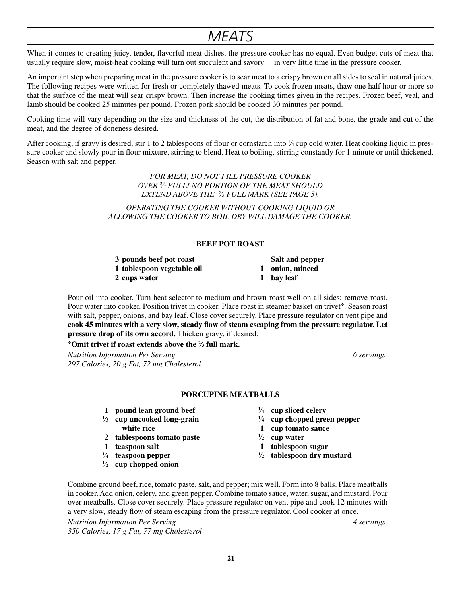### *Meats*

When it comes to creating juicy, tender, flavorful meat dishes, the pressure cooker has no equal. Even budget cuts of meat that usually require slow, moist-heat cooking will turn out succulent and savory— in very little time in the pressure cooker.

An important step when preparing meat in the pressure cooker is to sear meat to a crispy brown on all sides to seal in natural juices. The following recipes were written for fresh or completely thawed meats. To cook frozen meats, thaw one half hour or more so that the surface of the meat will sear crispy brown. Then increase the cooking times given in the recipes. Frozen beef, veal, and lamb should be cooked 25 minutes per pound. Frozen pork should be cooked 30 minutes per pound.

Cooking time will vary depending on the size and thickness of the cut, the distribution of fat and bone, the grade and cut of the meat, and the degree of doneness desired.

After cooking, if gravy is desired, stir 1 to 2 tablespoons of flour or cornstarch into  $\frac{1}{4}$  cup cold water. Heat cooking liquid in pressure cooker and slowly pour in flour mixture, stirring to blend. Heat to boiling, stirring constantly for 1 minute or until thickened. Season with salt and pepper.

> *FOR MEAT, DO NOT FILL PRESSURE COOKER OVER 2 ⁄3 FULL! NO PORTION OF THE MEAT SHOULD EXTEND ABOVE THE 2 ⁄3 FULL MARK (SEE PAGE 5).*

*Operating the cooker without cooking liquid oR allowing the cooker to boil dry will damage the cooker.*

#### **BEEF POT ROAST**

| 3 pounds beef pot roast    | Salt and pepper |
|----------------------------|-----------------|
| 1 tablespoon vegetable oil | 1 onion, minced |
| 2 cups water               | 1 bay leaf      |

Pour oil into cooker. Turn heat selector to medium and brown roast well on all sides; remove roast. Pour water into cooker. Position trivet in cooker. Place roast in steamer basket on trivet<sup>+</sup>. Season roast with salt, pepper, onions, and bay leaf. Close cover securely. Place pressure regulator on vent pipe and **cook 45 minutes with a very slow, steady flow of steam escaping from the pressure regulator.Let pressure drop of its own accord.** Thicken gravy, if desired.

**Omit trivet if roast extends above the 2 ⁄3 full mark.**

*Nutrition Information Per Serving 6 servings 297 Calories, 20 g Fat, 72 mg Cholesterol*

#### **PORCUPINE MEATBALLS**

- **1 pound lean ground beef <sup>1</sup>**
- <sup>1</sup>/<sub>3</sub> **cup uncooked long-grain**  $\frac{1}{2}$ *x* **white rice 1 <b>cup** tomato sauce
- **2 tablespoons tomato paste <sup>1</sup>**
- 
- **1 ⁄4 teaspoon pepper <sup>1</sup>**
- **1 ⁄2 cup chopped onion**
- **⁄4 cup sliced celery**
- **⁄4 cup chopped green pepper**
- 
- **⁄2 cup water**
- **1 teaspoon salt 1 tablespoon sugar**
	- **⁄2 tablespoon dry mustard**

Combine ground beef, rice, tomato paste, salt, and pepper; mix well. Form into 8 balls. Place meatballs in cooker. Add onion, celery, and green pepper. Combine tomato sauce, water, sugar, and mustard. Pour over meatballs. Close cover securely. Place pressure regulator on vent pipe and cook 12 minutes with a very slow, steady flow of steam escaping from the pressure regulator. Cool cooker at once.

*Nutrition Information Per Serving 4 servings 350 Calories, 17 g Fat, 77 mg Cholesterol*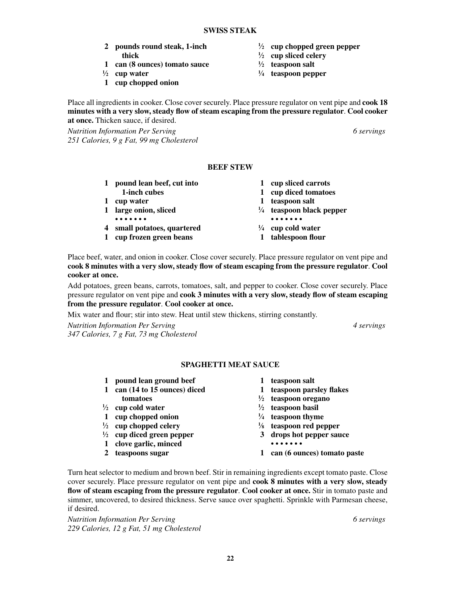**22**

#### **SWISS STEAK**

- **2 pounds round steak, 1-inch <sup>1</sup> thick**  $\frac{1}{2}$
- **1 can (8 ounces) tomato sauce <sup>1</sup>**
- $\frac{1}{2}$  **cup water**  $\frac{1}{2}$
- **1 cup chopped onion**
- Place all ingredients in cooker. Close cover securely. Place pressure regulator on vent pipe and **cook 18 minutes with a very slow, steady flow of steam escaping from the pressure regulator**. **Cool cooker at once.** Thicken sauce, if desired.

*Nutrition Information Per Serving 6 servings 251 Calories, 9 g Fat, 99 mg Cholesterol*

#### **BEEF STEW**

|                | 1 pound lean beef, cut into | 1 cup sliced carrots                |
|----------------|-----------------------------|-------------------------------------|
|                | 1-inch cubes                | 1 cup diced tomatoes                |
| 1              | cup water                   | 1 teaspoon salt                     |
|                | 1 large onion, sliced       | $\frac{1}{4}$ teaspoon black pepper |
|                |                             | .                                   |
| $\overline{4}$ | small potatoes, quartered   | $\frac{1}{4}$ cup cold water        |
| $\mathbf{1}$   | cup frozen green beans      | 1 tablespoon flour                  |

Place beef, water, and onion in cooker. Close cover securely. Place pressure regulator on vent pipe and **cook 8 minutes with a very slow, steady flow of steam escaping from the pressure regulator**. **Cool cooker at once.**

Add potatoes, green beans, carrots, tomatoes, salt, and pepper to cooker. Close cover securely. Place pressure regulator on vent pipe and **cook 3 minutes with a very slow, steady flow of steam escaping from the pressure regulator**. **Cool cooker at once.**

Mix water and flour; stir into stew. Heat until stew thickens, stirring constantly.

*Nutrition Information Per Serving 4 servings 347 Calories, 7 g Fat, 73 mg Cholesterol*

#### **SPAGHETTI MEAT SAUCE**

- **1 pound lean ground beef 1 teaspoon salt**
- **1 can (14 to 15 ounces) diced 1 teaspoon parsley flakes tomatoes**  $\frac{1}{2}$
- 
- $\frac{1}{2}$  **cup cold water**  $\frac{1}{2}$
- **1 cup chopped onion <sup>1</sup>**
- **1 ⁄2 cup chopped celery <sup>1</sup>**
- 
- **1 clove garlic, minced • • • • • • •**
- 
- 
- 
- **⁄2 teaspoon oregano**
- **⁄2 teaspoon basil**
- **⁄4 teaspoon thyme**
- **⁄8 teaspoon red pepper**
- **1 ⁄2 cup diced green pepper 3 drops hot pepper sauce**
	-
- **2 teaspoons sugar 1 can (6 ounces) tomato paste**

Turn heat selector to medium and brown beef. Stir in remaining ingredients except tomato paste. Close cover securely. Place pressure regulator on vent pipe and **cook 8 minutes with a very slow, steady flow of steam escaping from the pressure regulator**. **Cool cooker at once.** Stir in tomato paste and simmer, uncovered, to desired thickness. Serve sauce over spaghetti. Sprinkle with Parmesan cheese, if desired.

*Nutrition Information Per Serving 6 servings 229 Calories, 12 g Fat, 51 mg Cholesterol*

**⁄2 cup chopped green pepper**

**⁄2 cup sliced celery**

**⁄4 teaspoon pepper**

**⁄2 teaspoon salt**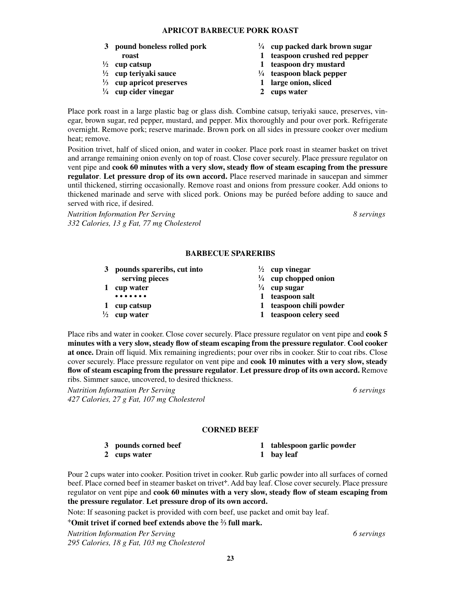#### **APRICOT BARBECUE PORK ROAST**

- **3 pound boneless rolled pork <sup>1</sup>**
- $\frac{1}{2}$  cup catsup
- **1 ⁄2 cup teriyaki sauce <sup>1</sup>**
- **1 ⁄3 cup apricot preserves 1 large onion, sliced**
- **1 ⁄4 cup cider vinegar 2 cups water**
- **⁄4 cup packed dark brown sugar**
- **roast 1 teaspoon crushed red pepper**
	- **⁄2 cup catsup 1 teaspoon dry mustard**
	- **⁄4 teaspoon black pepper**
	-
	-

Place pork roast in a large plastic bag or glass dish. Combine catsup, teriyaki sauce, preserves, vinegar, brown sugar, red pepper, mustard, and pepper. Mix thoroughly and pour over pork. Refrigerate overnight. Remove pork; reserve marinade. Brown pork on all sides in pressure cooker over medium heat; remove.

Position trivet, half of sliced onion, and water in cooker. Place pork roast in steamer basket on trivet and arrange remaining onion evenly on top of roast. Close cover securely. Place pressure regulator on vent pipe and **cook 60 minutes with a very slow, steady flow of steam escaping from the pressure regulator**. **Let pressure drop of its own accord.** Place reserved marinade in saucepan and simmer until thickened, stirring occasionally. Remove roast and onions from pressure cooker. Add onions to thickened marinade and serve with sliced pork. Onions may be puréed before adding to sauce and served with rice, if desired.

*Nutrition Information Per Serving 8 servings 332 Calories, 13 g Fat, 77 mg Cholesterol*

#### **BARBECUE SPARERIBS**

| pounds spareribs, cut into | $\frac{1}{2}$ cup vinegar       |
|----------------------------|---------------------------------|
| serving pieces             | $\frac{1}{4}$ cup chopped onion |
| cup water                  | $\frac{1}{4}$ cup sugar         |
|                            | 1 teaspoon salt                 |
| cup catsup                 | 1 teaspoon chili powder         |
| cup water                  | 1 teaspoon celery seed          |
|                            |                                 |

Place ribs and water in cooker. Close cover securely. Place pressure regulator on vent pipe and **cook 5 minutes with a very slow, steady flow of steam escaping from the pressure regulator**. **Cool cooker at once.** Drain off liquid. Mix remaining ingredients; pour over ribs in cooker. Stir to coat ribs. Close cover securely. Place pressure regulator on vent pipe and **cook 10 minutes with a very slow, steady flow of steam escaping from the pressure regulator**. **Let pressure drop of its own accord.** Remove ribs. Simmer sauce, uncovered, to desired thickness.

*Nutrition Information Per Serving 6 servings 427 Calories, 27 g Fat, 107 mg Cholesterol*

#### **Corned Beef**

- 
- **2 cups water 1 bay leaf**
- **3 pounds corned beef 1 tablespoon garlic powder**
	-
- 

Pour 2 cups water into cooker. Position trivet in cooker. Rub garlic powder into all surfaces of corned beef. Place corned beef in steamer basket on trivet<sup>+</sup>. Add bay leaf. Close cover securely. Place pressure regulator on vent pipe and **cook 60 minutes with a very slow, steady flow of steam escaping from the pressure regulator**. **Let pressure drop of its own accord.**

Note: If seasoning packet is provided with corn beef, use packet and omit bay leaf.

**Omit trivet if corned beef extends above the 2 ⁄3 full mark.**

*Nutrition Information Per Serving 6 servings 295 Calories, 18 g Fat, 103 mg Cholesterol*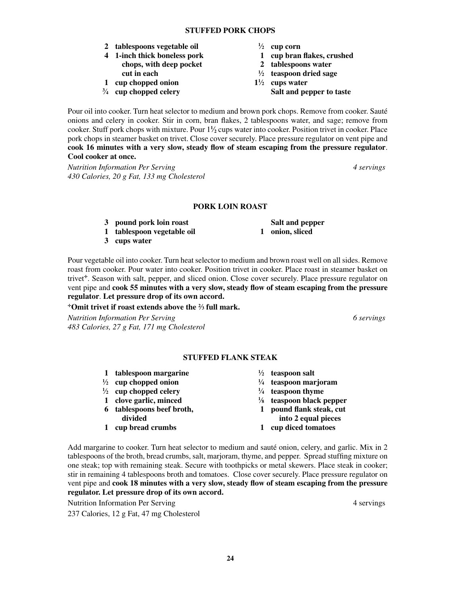**24**

- **2 tablespoons vegetable oil <sup>1</sup>**
- **4 1-inch thick boneless pork 1 cup bran flakes, crushed chops, with deep pocket 2 tablespoons water cut in each <sup>1</sup>**
- **1 cup chopped onion 11**
- <sup>3</sup>/<sub>4</sub> cup chopped celery
- Pour oil into cooker. Turn heat selector to medium and brown pork chops. Remove from cooker. Sauté onions and celery in cooker. Stir in corn, bran flakes, 2 tablespoons water, and sage; remove from cooker. Stuff pork chops with mixture. Pour 1**<sup>1</sup> ⁄2** cups water into cooker. Position trivet in cooker. Place pork chops in steamer basket on trivet. Close cover securely. Place pressure regulator on vent pipe and **cook 16 minutes with a very slow, steady flow of steam escaping from the pressure regulator**. **Cool cooker at once.**

*Nutrition Information Per Serving 4 servings 430 Calories, 20 g Fat, 133 mg Cholesterol*

#### **PORK LOIN ROAST**

**3 pound pork loin roast Salt and pepper**

**1 tablespoon vegetable oil 1 onion, sliced**

**3 cups water**

Pour vegetable oil into cooker. Turn heat selector to medium and brown roast well on all sides. Remove roast from cooker. Pour water into cooker. Position trivet in cooker. Place roast in steamer basket on trivet<sup>\*</sup>. Season with salt, pepper, and sliced onion. Close cover securely. Place pressure regulator on vent pipe and **cook 55 minutes with a very slow, steady flow of steam escaping from the pressure regulator**. **Let pressure drop of its own accord.**

#### **Omit trivet if roast extends above the 2 ⁄3 full mark.**

*Nutrition Information Per Serving 6 servings 483 Calories, 27 g Fat, 171 mg Cholesterol*

### **⁄2 cup corn**

- 
- 
- **⁄2 teaspoon dried sage**
- **⁄2 cups water Salt and pepper to taste**

#### **STUFFED FLANK STEAK**

- **1 tablespoon margarine <sup>1</sup>**
- **1 ⁄2 cup chopped onion <sup>1</sup>**
- **1 ⁄2 cup chopped celery <sup>1</sup>**
- **1 clove garlic, minced <sup>1</sup>**
- 
- 
- **⁄2 teaspoon salt**
- **⁄4 teaspoon marjoram**
- **⁄4 teaspoon thyme**
- **⁄8 teaspoon black pepper**
- **6 tablespoons beef broth, 1 pound flank steak, cut divided into 2 equal pieces**
- **1 cup bread crumbs 1 cup diced tomatoes**

Add margarine to cooker. Turn heat selector to medium and sauté onion, celery, and garlic. Mix in 2 tablespoons of the broth, bread crumbs, salt, marjoram, thyme, and pepper. Spread stuffing mixture on one steak; top with remaining steak. Secure with toothpicks or metal skewers. Place steak in cooker; stir in remaining 4 tablespoons broth and tomatoes. Close cover securely. Place pressure regulator on vent pipe and **cook 18 minutes with a very slow, steady flow of steam escaping from the pressure regulator. Let pressure drop of its own accord.**

Nutrition Information Per Serving 4 serving 4 servings

237 Calories, 12 g Fat, 47 mg Cholesterol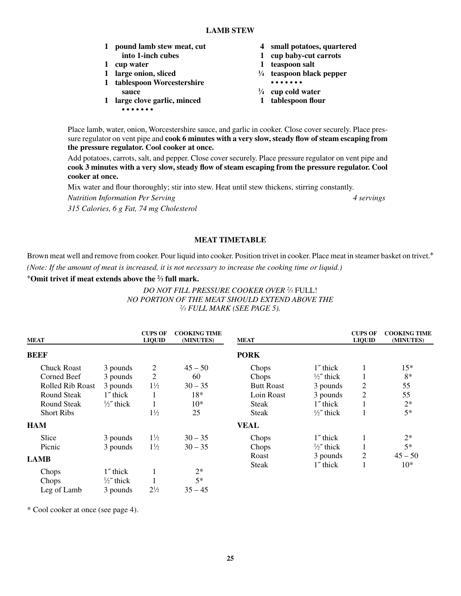**25**

- **1 pound lamb stew meat, cut 4 small potatoes, quartered into 1-inch cubes 1 cup baby-cut carrots**
- 
- **1 large onion, sliced <sup>1</sup>**
- **1 tablespoon Worcestershire sauce <sup>1</sup>**
- **1 large clove garlic, minced 1 tablespoon flour • • • • • • •**
- 
- 
- **1 cup water 1 teaspoon salt**
	- **⁄4 teaspoon black pepper**
	-
	- **⁄4 cup cold water**
	-

Place lamb, water, onion, Worcestershire sauce, and garlic in cooker. Close cover securely. Place pressure regulator on vent pipe and **cook 6 minutes with a very slow, steady flow of steam escaping from the pressure regulator. Cool cooker at once.**

Add potatoes, carrots, salt, and pepper. Close cover securely. Place pressure regulator on vent pipe and **cook 3 minutes with a very slow, steady flow of steam escaping from the pressure regulator. Cool cooker at once.**

Mix water and flour thoroughly; stir into stew. Heat until stew thickens, stirring constantly.

*Nutrition Information Per Serving 4 servings*

*315 Calories, 6 g Fat, 74 mg Cholesterol*

#### **MEAT TIMETABLE**

Brown meat well and remove from cooker. Pour liquid into cooker. Position trivet in cooker. Place meat in steamer basket on trivet.<sup>+</sup> *(Note: If the amount of meat is increased, it is not necessary to increase the cooking time or liquid.)*

#### **Omit trivet if meat extends above the 2 ⁄3 full mark.**

#### *DO NOT FILL PRESSURE COOKER OVER 2 ⁄3* FULL! *NO PORTION OF THE MEAT SHOULD EXTEND ABOVE THE ⁄3 FULL MARK (SEE PAGE 5).*

| <b>MEAT</b>             |                     | <b>CUPS OF</b><br><b>LIQUID</b> | <b>COOKING TIME</b><br>(MINUTES) | <b>MEAT</b>       |                     | <b>CUPS OF</b><br><b>LIQUID</b> | <b>COOKING TIME</b><br>(MINUTES) |
|-------------------------|---------------------|---------------------------------|----------------------------------|-------------------|---------------------|---------------------------------|----------------------------------|
| <b>BEEF</b>             |                     |                                 |                                  | <b>PORK</b>       |                     |                                 |                                  |
| <b>Chuck Roast</b>      | 3 pounds            | 2                               | $45 - 50$                        | Chops             | 1" thick            |                                 | $15*$                            |
| Corned Beef             | 3 pounds            | 2                               | 60                               | Chops             | $\frac{1}{2}$ thick | $\perp$                         | $8*$                             |
| <b>Rolled Rib Roast</b> | 3 pounds            | $1\frac{1}{2}$                  | $30 - 35$                        | <b>Butt Roast</b> | 3 pounds            | $\overline{c}$                  | 55                               |
| <b>Round Steak</b>      | 1" thick            |                                 | $18*$                            | Loin Roast        | 3 pounds            | 2                               | 55                               |
| Round Steak             | $\frac{1}{2}$ thick |                                 | $10*$                            | Steak             | 1" thick            |                                 | $2*$                             |
| <b>Short Ribs</b>       |                     | $1\frac{1}{2}$                  | 25                               | <b>Steak</b>      | $\frac{1}{2}$ thick | Ι.                              | $5*$                             |
| <b>HAM</b>              |                     |                                 |                                  | <b>VEAL</b>       |                     |                                 |                                  |
| Slice                   | 3 pounds            | $1\frac{1}{2}$                  | $30 - 35$                        | Chops             | $1$ " thick         | 1                               | $2*$                             |
| Picnic                  | 3 pounds            | $1\frac{1}{2}$                  | $30 - 35$                        | Chops             | $\frac{1}{2}$ thick |                                 | $5*$                             |
| <b>LAMB</b>             |                     |                                 |                                  | Roast             | 3 pounds            | $\overline{2}$                  | $45 - 50$                        |
|                         |                     |                                 |                                  | Steak             | 1" thick            | 1                               | $10*$                            |
| Chops                   | 1" thick            |                                 | $2^*$                            |                   |                     |                                 |                                  |
| Chops                   | $\frac{1}{2}$ thick |                                 | $5*$                             |                   |                     |                                 |                                  |
| Leg of Lamb             | 3 pounds            | $2\frac{1}{2}$                  | $35 - 45$                        |                   |                     |                                 |                                  |

\* Cool cooker at once (see page 4).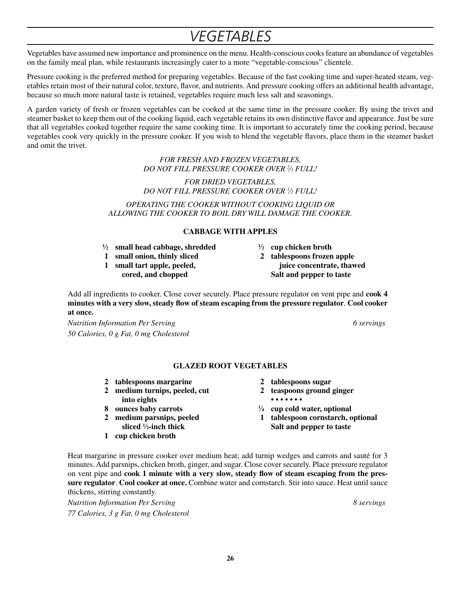### *Vegetables*

Vegetables have assumed new importance and prominence on the menu. Health-conscious cooks feature an abundance of vegetables on the family meal plan, while restaurants increasingly cater to a more "vegetable-conscious" clientele.

Pressure cooking is the preferred method for preparing vegetables. Because of the fast cooking time and super-heated steam, vegetables retain most of their natural color, texture, flavor, and nutrients. And pressure cooking offers an additional health advantage, because so much more natural taste is retained, vegetables require much less salt and seasonings.

A garden variety of fresh or frozen vegetables can be cooked at the same time in the pressure cooker. By using the trivet and steamer basket to keep them out of the cooking liquid, each vegetable retains its own distinctive flavor and appearance. Just be sure that all vegetables cooked together require the same cooking time. It is important to accurately time the cooking period, because vegetables cook very quickly in the pressure cooker. If you wish to blend the vegetable flavors, place them in the steamer basket and omit the trivet.

#### *FOR FRESH AND FROZEN VEGETABLES, DO NOT FILL PRESSURE COOKER OVER 2 ⁄3 FULL!*

*FOR DRIED VEGETABLES, DO NOT FILL PRESSURE COOKER OVER 1 ⁄2 FULL!*

*Operating the cooker without cooking liquid oR allowing the cooker to boil dry will damage the cooker.*

#### **CABBAGE WITH APPLES**

- **1 ⁄2 small head cabbage, shredded <sup>1</sup>**
- **1 small onion, thinly sliced 2 tablespoons frozen apple**
- 
- **⁄2 cup chicken broth**
- **1 small tart apple, peeled, juice concentrate, thawed cored, and chopped Salt and pepper to taste**

Add all ingredients to cooker. Close cover securely. Place pressure regulator on vent pipe and **cook 4 minutes with a very slow, steady flow of steam escaping from the pressure regulator**. **Cool cooker at once.**

*Nutrition Information Per Serving 6 servings 50 Calories, 0 g Fat, 0 mg Cholesterol*

#### **Glazed Root VEGETABLES**

- **2 tablespoons margarine 2 tablespoons sugar**
- **2 medium turnips, peeled, cut 2 teaspoons ground ginger into eights • • • • • • •**
- **8 ounces baby carrots <sup>1</sup>**
- sliced <sup>1</sup>/<sub>2</sub>-inch thick
- **1 cup chicken broth**
- 
- 
- **⁄4 cup cold water, optional**
- **2 medium parsnips, peeled 1 tablespoon cornstarch, optional ⁄2-inch thick Salt and pepper to taste**

Heat margarine in pressure cooker over medium heat; add turnip wedges and carrots and sauté for 3 minutes. Add parsnips, chicken broth, ginger, and sugar. Close cover securely. Place pressure regulator on vent pipe and **cook 1 minute with a very slow, steady flow of steam escaping from the pressure regulator**. **Cool cooker at once.** Combine water and cornstarch. Stir into sauce. Heat until sauce thickens, stirring constantly.

*Nutrition Information Per Serving 8 servings 77 Calories, 3 g Fat, 0 mg Cholesterol*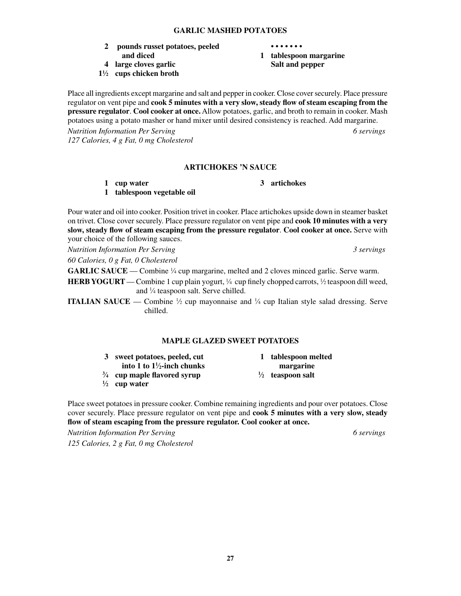#### **Garlic Mashed Potatoes**

- **2 pounds russet potatoes, peeled • • • • • • • and diced 1 tablespoon margarine**
- **4 large cloves garlic Salt and pepper**
- **11 ⁄2 cups chicken broth**

Place all ingredients except margarine and salt and pepper in cooker. Close cover securely. Place pressure regulator on vent pipe and **cook 5 minutes with a very slow, steady flow of steam escaping from the pressure regulator**. **Cool cooker at once.** Allow potatoes, garlic, and broth to remain in cooker. Mash potatoes using a potato masher or hand mixer until desired consistency is reached. Add margarine.

*Nutrition Information Per Serving 6 servings 127 Calories, 4 g Fat, 0 mg Cholesterol*

#### **ARTICHOKES 'N SAUCE**

**1 cup water 3 artichokes**

**1 tablespoon vegetable oil**

Pour water and oil into cooker. Position trivet in cooker. Place artichokes upside down in steamer basket on trivet. Close cover securely. Place pressure regulator on vent pipe and **cook 10 minutes with a very slow, steady flow of steam escaping from the pressure regulator**. **Cool cooker at once.** Serve with your choice of the following sauces.

*60 Calories, 0 g Fat, 0 Cholesterol*

**GARLIC SAUCE** — Combine <sup>1/4</sup> cup margarine, melted and 2 cloves minced garlic. Serve warm.

**HERB YOGURT** — Combine 1 cup plain yogurt,  $\frac{1}{4}$  cup finely chopped carrots,  $\frac{1}{2}$  teaspoon dill weed, and 1 ⁄4 teaspoon salt. Serve chilled.

**ITALIAN SAUCE** — Combine  $\frac{1}{2}$  cup mayonnaise and  $\frac{1}{4}$  cup Italian style salad dressing. Serve chilled.

#### **MAPLE GLAZED SWEET POTATOES**

**3 sweet potatoes, peeled, cut 1 tablespoon melted**

**into 1 to 1<sup>1</sup>/<sub>2</sub>-inch chunks margarine ⁄2 teaspoon salt**

- **3 ⁄4 cup maple flavored syrup <sup>1</sup>**
- **1 ⁄2 cup water**

Place sweet potatoes in pressure cooker. Combine remaining ingredients and pour over potatoes. Close cover securely. Place pressure regulator on vent pipe and **cook 5 minutes with a very slow, steady flow of steam escaping from the pressure regulator. Cool cooker at once.**

*Nutrition Information Per Serving 6 servings 125 Calories, 2 g Fat, 0 mg Cholesterol*

*Nutrition Information Per Serving 3 servings*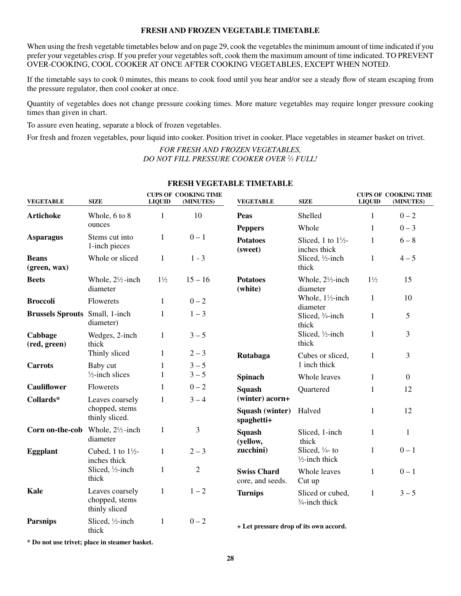#### **FRESH AND FROZEN VEGETABLE TIMETABLE**

When using the fresh vegetable timetables below and on page 29, cook the vegetables the minimum amount of time indicated if you prefer your vegetables crisp. If you prefer your vegetables soft, cook them the maximum amount of time indicated. TO PREVENT OVER-COOKING, COOL COOKER AT ONCE AFTER COOKING VEGETABLES, EXCEPT WHEN NOTED.

If the timetable says to cook 0 minutes, this means to cook food until you hear and/or see a steady flow of steam escaping from the pressure regulator, then cool cooker at once.

Quantity of vegetables does not change pressure cooking times. More mature vegetables may require longer pressure cooking times than given in chart.

To assure even heating, separate a block of frozen vegetables.

For fresh and frozen vegetables, pour liquid into cooker. Position trivet in cooker. Place vegetables in steamer basket on trivet.

#### *FOR FRESH AND FROZEN VEGETABLES, DO NOT FILL PRESSURE COOKER OVER 2 ⁄3 FULL!*

| <b>VEGETABLE</b>                                   | <b>SIZE</b>                                        | <b>LIQUID</b>  | <b>CUPS OF COOKING TIME</b><br>(MINUTES) | <b>VEGETABLE</b>                       | <b>SIZE</b>                                             | <b>LIQUID</b>  | <b>CUPS OF COOKING TIME</b><br>(MINUTES) |
|----------------------------------------------------|----------------------------------------------------|----------------|------------------------------------------|----------------------------------------|---------------------------------------------------------|----------------|------------------------------------------|
| <b>Artichoke</b>                                   | Whole, 6 to 8                                      | 1              | 10                                       | <b>Peas</b>                            | Shelled                                                 | 1              | $0 - 2$                                  |
|                                                    | ounces                                             |                |                                          | <b>Peppers</b>                         | Whole                                                   | $\mathbf{1}$   | $0 - 3$                                  |
| <b>Asparagus</b>                                   | Stems cut into<br>1-inch pieces                    | $\mathbf{1}$   | $0 - 1$                                  | <b>Potatoes</b><br>(sweet)             | Sliced, 1 to $1\frac{1}{2}$ -<br>inches thick           | $\mathbf{1}$   | $6 - 8$                                  |
| <b>Beans</b><br>(green, wax)                       | Whole or sliced                                    | $\mathbf{1}$   | $1 - 3$                                  |                                        | Sliced, $\frac{1}{2}$ -inch<br>thick                    | $\mathbf{1}$   | $4 - 5$                                  |
| <b>Beets</b>                                       | Whole, $2\frac{1}{2}$ -inch<br>diameter            | $1\frac{1}{2}$ | $15 - 16$                                | <b>Potatoes</b><br>(white)             | Whole, $2\frac{1}{2}$ -inch<br>diameter                 | $1\frac{1}{2}$ | 15                                       |
| <b>Broccoli</b>                                    | Flowerets                                          | $\mathbf{1}$   | $0 - 2$                                  |                                        | Whole, $1\frac{1}{2}$ -inch<br>diameter                 | $\mathbf{1}$   | 10                                       |
| <b>Brussels Sprouts</b> Small, 1-inch              | diameter)                                          | 1              | $1 - 3$                                  |                                        | Sliced, 3/4-inch<br>thick                               | $\mathbf{1}$   | 5                                        |
| Cabbage<br>(red, green)                            | Wedges, 2-inch<br>thick                            | $\mathbf{1}$   | $3 - 5$                                  |                                        | Sliced, 1/2-inch<br>thick                               | $\mathbf{1}$   | $\overline{3}$                           |
|                                                    | Thinly sliced                                      | 1              | $2 - 3$                                  | Rutabaga                               | Cubes or sliced,                                        | $\mathbf{1}$   | 3                                        |
| <b>Carrots</b>                                     | Baby cut                                           | 1              | $3 - 5$                                  |                                        | 1 inch thick                                            |                |                                          |
|                                                    | $\frac{1}{2}$ -inch slices                         | $\mathbf{1}$   | $3 - 5$                                  | <b>Spinach</b>                         | Whole leaves                                            | $\mathbf{1}$   | $\overline{0}$                           |
| <b>Cauliflower</b>                                 | Flowerets                                          | $\mathbf{1}$   | $0 - 2$                                  | <b>Squash</b>                          | Quartered                                               | 1              | 12                                       |
| Collards*                                          | Leaves coarsely                                    | $\mathbf{1}$   | $3 - 4$                                  | (winter) acorn+                        |                                                         |                |                                          |
|                                                    | chopped, stems<br>thinly sliced.                   |                |                                          | Squash (winter)<br>spaghetti+          | Halved                                                  | $\mathbf{1}$   | 12                                       |
| <b>Corn on-the-cob</b> Whole, $2\frac{1}{2}$ -inch | diameter                                           | $\mathbf{1}$   | 3                                        | <b>Squash</b><br>(yellow,              | Sliced, 1-inch<br>thick                                 | $\mathbf{1}$   | $\mathbf{1}$                             |
| <b>Eggplant</b>                                    | Cubed, 1 to $1\frac{1}{2}$ -<br>inches thick       | $\mathbf{1}$   | $2 - 3$                                  | zucchini)                              | Sliced, $\frac{1}{4}$ - to<br>$\frac{1}{2}$ -inch thick | $\mathbf{1}$   | $0 - 1$                                  |
|                                                    | Sliced, 1/2-inch<br>thick                          | 1              | $\overline{2}$                           | <b>Swiss Chard</b><br>core, and seeds. | Whole leaves<br>Cut up                                  | $\mathbf{1}$   | $0 - 1$                                  |
| <b>Kale</b>                                        | Leaves coarsely<br>chopped, stems<br>thinly sliced | $\mathbf{1}$   | $1 - 2$                                  | <b>Turnips</b>                         | Sliced or cubed,<br>$\frac{3}{4}$ -inch thick           | $\mathbf{1}$   | $3 - 5$                                  |
| <b>Parsnips</b>                                    | Sliced, 1/2-inch<br>thick                          | 1              | $0 - 2$                                  | + Let pressure drop of its own accord. |                                                         |                |                                          |

### **FRESH VEGETABLE TIMETABLE**

**\* Do not use trivet; place in steamer basket.**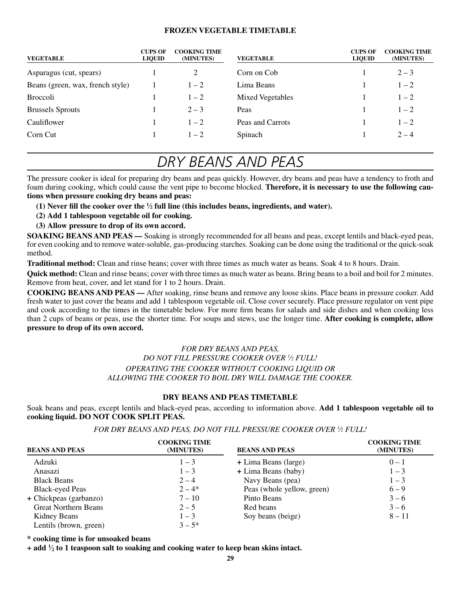#### **FROZEN VEGETABLE TIMETABLE**

| <b>VEGETABLE</b>                 | <b>CUPS OF</b><br><b>LIQUID</b> | <b>COOKING TIME</b><br>(MINUTES) | <b>VEGETABLE</b>        | <b>CUPS OF</b><br><b>LIQUID</b> | <b>COOKING TIME</b><br>(MINUTES) |
|----------------------------------|---------------------------------|----------------------------------|-------------------------|---------------------------------|----------------------------------|
| Asparagus (cut, spears)          |                                 |                                  | Corn on Cob             |                                 | $2 - 3$                          |
| Beans (green, wax, french style) |                                 | $1 - 2$                          | Lima Beans              |                                 | $1 - 2$                          |
| <b>Broccoli</b>                  |                                 | $1 - 2$                          | <b>Mixed Vegetables</b> |                                 | $1 - 2$                          |
| <b>Brussels Sprouts</b>          |                                 | $2 - 3$                          | Peas                    |                                 | $1 - 2$                          |
| Cauliflower                      |                                 | $1 - 2$                          | Peas and Carrots        |                                 | $1 - 2$                          |
| Corn Cut                         |                                 | $1 - 2$                          | Spinach                 |                                 | $2 - 4$                          |

### *Dry Beans and Peas*

The pressure cooker is ideal for preparing dry beans and peas quickly. However, dry beans and peas have a tendency to froth and foam during cooking, which could cause the vent pipe to become blocked. **Therefore, it is necessary to use the following cautions when pressure cooking dry beans and peas:**

**(1) Never fill the cooker over the 1 ⁄2 full line (this includes beans, ingredients, and water).**

- **(2) Add 1 tablespoon vegetable oil for cooking.**
- **(3) Allow pressure to drop of its own accord.**

**SOAKING BEANS AND PEAS — Soaking is strongly recommended for all beans and peas, except lentils and black-eyed peas,** for even cooking and to remove water-soluble, gas-producing starches. Soaking can be done using the traditional or the quick-soak method.

**Traditional method:** Clean and rinse beans; cover with three times as much water as beans. Soak 4 to 8 hours. Drain.

**Quick method:** Clean and rinse beans; cover with three times as much water as beans. Bring beans to a boil and boil for 2 minutes. Remove from heat, cover, and let stand for 1 to 2 hours. Drain.

**COOKING BEANS AND PEAS — After soaking, rinse beans and remove any loose skins. Place beans in pressure cooker. Add** fresh water to just cover the beans and add 1 tablespoon vegetable oil. Close cover securely. Place pressure regulator on vent pipe and cook according to the times in the timetable below. For more firm beans for salads and side dishes and when cooking less than 2 cups of beans or peas, use the shorter time. For soups and stews, use the longer time. **After cooking is complete, allow pressure to drop of its own accord.**

#### *FOR DRy beans and peas, DO NOT FILL PRESSURE COOKER OVER 1 ⁄2 FULL! Operating the cooker without cooking liquid oR allowing the cooker to boil dry will damage the cooker.*

#### **DRY BEANS AND PEAS TIMETABLE**

Soak beans and peas, except lentils and black-eyed peas, according to information above. **Add 1 tablespoon vegetable oil to cooking liquid.Do not cook split peas.**

*FOR DRY BEANS AND PEAS, DO NOT FILL PRESSURE COOKER OVER 1 ⁄2 FULL!*

| <b>BEANS AND PEAS</b>       | <b>COOKING TIME</b><br>(MINUTES) | <b>BEANS AND PEAS</b>      | <b>COOKING TIME</b><br>(MINUTES) |
|-----------------------------|----------------------------------|----------------------------|----------------------------------|
| Adzuki                      | $1 - 3$                          | + Lima Beans (large)       | $0 - 1$                          |
| Anasazi                     | $1 - 3$                          | + Lima Beans (baby)        | $1 - 3$                          |
| <b>Black Beans</b>          | $2 - 4$                          | Navy Beans (pea)           | $1 - 3$                          |
| <b>Black-eyed Peas</b>      | $2 - 4*$                         | Peas (whole yellow, green) | $6 - 9$                          |
| + Chickpeas (garbanzo)      | $7 - 10$                         | Pinto Beans                | $3 - 6$                          |
| <b>Great Northern Beans</b> | $2 - 5$                          | Red beans                  | $3 - 6$                          |
| Kidney Beans                | $1 - 3$                          | Soy beans (beige)          | $8 - 11$                         |
| Lentils (brown, green)      | $3 - 5^*$                        |                            |                                  |

**\* cooking time is for unsoaked beans**

**+ add 1 ⁄2 to 1 teaspoon salt to soaking and cooking water to keep bean skins intact.**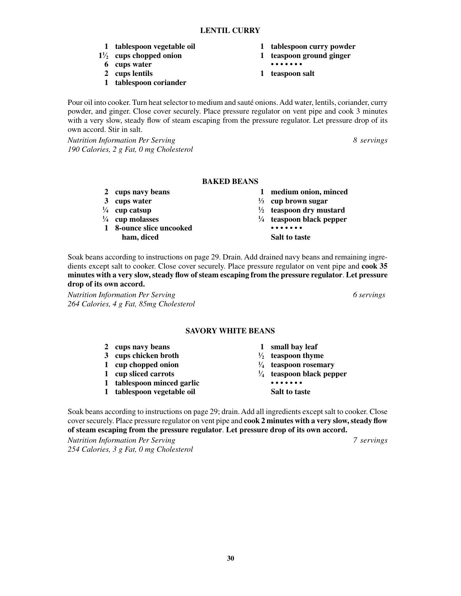#### **LENTIL CURRY**

- **1 tablespoon vegetable oil 1 tablespoon curry powder**
- $1\frac{1}{2}$  cups chopped onion
	- **6 cups water • • • • • • •**
	- **2 cups lentils 1 teaspoon salt**
	- **1 tablespoon coriander**

Pour oil into cooker. Turn heat selector to medium and sauté onions. Add water, lentils, coriander, curry powder, and ginger. Close cover securely. Place pressure regulator on vent pipe and cook 3 minutes with a very slow, steady flow of steam escaping from the pressure regulator. Let pressure drop of its own accord. Stir in salt.

*Nutrition Information Per Serving 8 servings 190 Calories, 2 g Fat, 0 mg Cholesterol*

#### **BAKED BEANS**

- 
- **3 cups water <sup>1</sup>**
- $\frac{1}{4}$  **cup catsup 1**
- $\frac{1}{4}$  **cup molasses 1**
- **1 8-ounce slice uncooked • • • • • • • ham, diced Salt to taste**
- **2 cups navy beans 1 medium onion, minced**

**⁄2 cups chopped onion 1 teaspoon ground ginger**

- **⁄3 cup brown sugar**
- 
- **⁄4 teaspoon black pepper**
	-
	-

Soak beans according to instructions on page 29. Drain. Add drained navy beans and remaining ingredients except salt to cooker. Close cover securely. Place pressure regulator on vent pipe and **cook 35 minutes with a very slow, steady flow of steam escaping from the pressure regulator**. **Let pressure drop of its own accord.**

*Nutrition Information Per Serving 6 servings 264 Calories, 4 g Fat, 85mg Cholesterol*

#### **SAVORY WHITE BEANS**

| $2^{\circ}$ | cups navy beans            | small bay leaf                      |
|-------------|----------------------------|-------------------------------------|
|             | 3 cups chicken broth       | $\frac{1}{2}$ teaspoon thyme        |
|             | 1 cup chopped onion        | $\frac{1}{4}$ teaspoon rosemary     |
|             | 1 cup sliced carrots       | $\frac{1}{4}$ teaspoon black pepper |
|             | 1 tablespoon minced garlic |                                     |
| 1           | tablespoon vegetable oil   | <b>Salt to taste</b>                |

Soak beans according to instructions on page 29; drain. Add all ingredients except salt to cooker. Close cover securely. Place pressure regulator on vent pipe and **cook 2 minutes with a very slow, steady flow of steam escaping from the pressure regulator**. **Let pressure drop of its own accord.**

*Nutrition Information Per Serving 7 servings 254 Calories, 3 g Fat, 0 mg Cholesterol*

- 
- **⁄2 teaspoon dry mustard**
-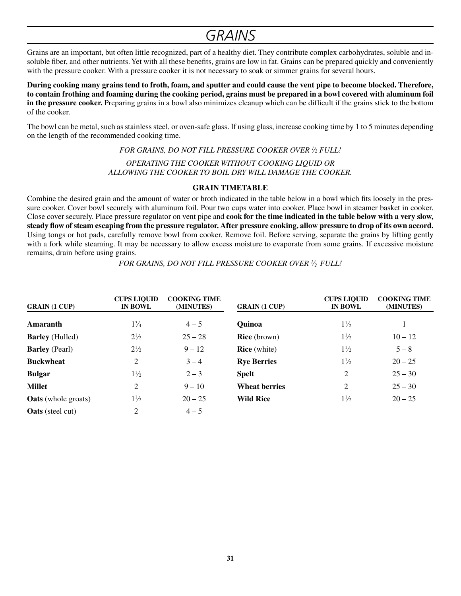### *GRAINS*

Grains are an important, but often little recognized, part of a healthy diet. They contribute complex carbohydrates, soluble and insoluble fiber, and other nutrients. Yet with all these benefits, grains are low in fat. Grains can be prepared quickly and conveniently with the pressure cooker. With a pressure cooker it is not necessary to soak or simmer grains for several hours.

**During cooking many grains tend to froth, foam, and sputter and could cause the vent pipe to become blocked. Therefore, to contain frothing and foaming during the cooking period, grains must be prepared in a bowl covered with aluminum foil in the pressure cooker.** Preparing grains in a bowl also minimizes cleanup which can be difficult if the grains stick to the bottom of the cooker.

The bowl can be metal, such as stainless steel, or oven-safe glass. If using glass, increase cooking time by 1 to 5 minutes depending on the length of the recommended cooking time.

*FOR GRAINS, DO NOT FILL PRESSURE COOKER OVER 1 ⁄2 FULL!*

*Operating the cooker without cooking liquid oR allowing the cooker to boil dry will damage the cooker.*

#### **GRAIN TIMETABLE**

Combine the desired grain and the amount of water or broth indicated in the table below in a bowl which fits loosely in the pressure cooker. Cover bowl securely with aluminum foil. Pour two cups water into cooker. Place bowl in steamer basket in cooker. Close cover securely. Place pressure regulator on vent pipe and **cook for the time indicated in the table below with a very slow, steady flow of steam escaping from the pressure regulator.After pressure cooking, allow pressure to drop of its own accord.** Using tongs or hot pads, carefully remove bowl from cooker. Remove foil. Before serving, separate the grains by lifting gently with a fork while steaming. It may be necessary to allow excess moisture to evaporate from some grains. If excessive moisture remains, drain before using grains.

*FOR GRAINS, DO NOT FILL PRESSURE COOKER OVER 1 ⁄2 FULL!*

| <b>GRAIN</b> (1 CUP)       | <b>CUPS LIQUID</b><br><b>IN BOWL</b> | <b>COOKING TIME</b><br>(MINUTES) | <b>GRAIN</b> (1 CUP) | <b>CUPS LIQUID</b><br><b>IN BOWL</b> | <b>COOKING TIME</b><br>(MINUTES) |
|----------------------------|--------------------------------------|----------------------------------|----------------------|--------------------------------------|----------------------------------|
| Amaranth                   | $1\frac{3}{4}$                       | $4 - 5$                          | <b>Quinoa</b>        | $1\frac{1}{2}$                       |                                  |
| <b>Barley</b> (Hulled)     | $2\frac{1}{2}$                       | $25 - 28$                        | <b>Rice</b> (brown)  | $1\frac{1}{2}$                       | $10 - 12$                        |
| <b>Barley</b> (Pearl)      | $2\frac{1}{2}$                       | $9 - 12$                         | <b>Rice</b> (white)  | $1\frac{1}{2}$                       | $5 - 8$                          |
| <b>Buckwheat</b>           | 2                                    | $3 - 4$                          | <b>Rye Berries</b>   | $1\frac{1}{2}$                       | $20 - 25$                        |
| <b>Bulgar</b>              | $1\frac{1}{2}$                       | $2 - 3$                          | <b>Spelt</b>         | 2                                    | $25 - 30$                        |
| <b>Millet</b>              | 2                                    | $9 - 10$                         | <b>Wheat berries</b> | 2                                    | $25 - 30$                        |
| <b>Oats</b> (whole groats) | $1\frac{1}{2}$                       | $20 - 25$                        | <b>Wild Rice</b>     | $1\frac{1}{2}$                       | $20 - 25$                        |
| <b>Oats</b> (steel cut)    | 2                                    | $4 - 5$                          |                      |                                      |                                  |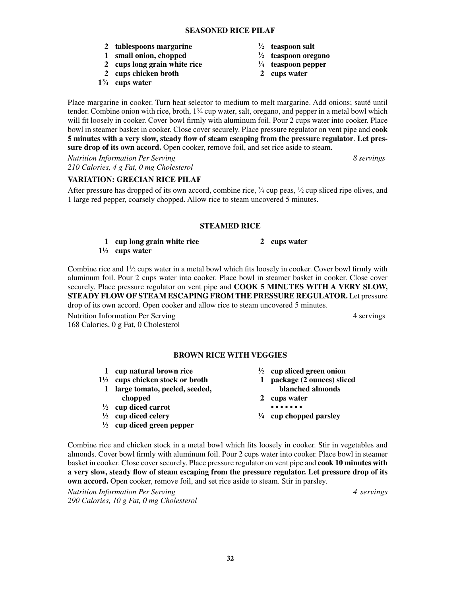**32**

- **2 tablespoons margarine <sup>1</sup>**
- **1 small onion, chopped <sup>1</sup>**
- **2 cups long grain white rice <sup>1</sup>**
- **2 cups chicken broth 2 cups water**
- **13 ⁄4 cups water**
- **⁄2 teaspoon salt**
- **⁄2 teaspoon oregano ⁄4 teaspoon pepper**
- 

Place margarine in cooker. Turn heat selector to medium to melt margarine. Add onions; sauté until tender. Combine onion with rice, broth,  $1\frac{3}{4}$  cup water, salt, oregano, and pepper in a metal bowl which will fit loosely in cooker. Cover bowl firmly with aluminum foil. Pour 2 cups water into cooker. Place bowl in steamer basket in cooker. Close cover securely. Place pressure regulator on vent pipe and **cook 5 minutes with a very slow, steady flow of steam escaping from the pressure regulator**. **Let pressure drop of its own accord.** Open cooker, remove foil, and set rice aside to steam.

*Nutrition Information Per Serving 8 servings 210 Calories, 4 g Fat, 0 mg Cholesterol*

#### **VARIATION: GRECIAN RICE PILAF**

After pressure has dropped of its own accord, combine rice,  $\frac{3}{4}$  cup peas,  $\frac{1}{2}$  cup sliced ripe olives, and 1 large red pepper, coarsely chopped. Allow rice to steam uncovered 5 minutes.

#### **STEAMED RICE**

#### **1 cup long grain white rice 2 cups water**

**11 ⁄2 cups water**

Combine rice and  $1\frac{1}{2}$  cups water in a metal bowl which fits loosely in cooker. Cover bowl firmly with aluminum foil. Pour 2 cups water into cooker. Place bowl in steamer basket in cooker. Close cover securely. Place pressure regulator on vent pipe and **COOK 5 MINUTES with a very slow, steady flow of steam escaping from the pressure regulator.** Let pressure drop of its own accord. Open cooker and allow rice to steam uncovered 5 minutes.

Nutrition Information Per Serving 4 serving 4 servings 168 Calories, 0 g Fat, 0 Cholesterol

#### **BROWN RICE WITH VEGGIES**

- **1 cup natural brown rice <sup>1</sup>**
- **11 ⁄2 cups chicken stock or broth 1 package (2 ounces) sliced**
- **1 large tomato, peeled, seeded, blanched almonds chopped 2 cups water**
- **1 ⁄2 cup diced carrot • • • • • • •**
- $\frac{1}{2}$  **cup diced celery 1**
- **1 ⁄2 cup diced green pepper**
- **⁄2 cup sliced green onion**
- 
- 
- 
- **⁄4 cup chopped parsley**

Combine rice and chicken stock in a metal bowl which fits loosely in cooker. Stir in vegetables and almonds. Cover bowl firmly with aluminum foil. Pour 2 cups water into cooker. Place bowl in steamer basket in cooker. Close cover securely. Place pressure regulator on vent pipe and **cook 10 minutes with a very slow, steady flow of steam escaping from the pressure regulator. Let pressure drop of its own accord.** Open cooker, remove foil, and set rice aside to steam. Stir in parsley.

*Nutrition Information Per Serving 4 servings 290 Calories, 10 g Fat, 0 mg Cholesterol*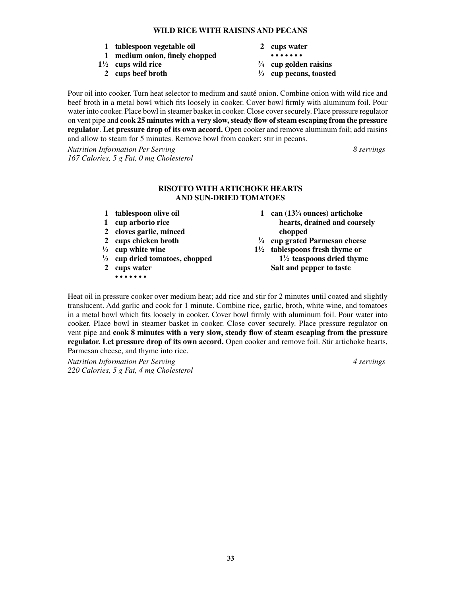#### **Wild Rice with Raisins and Pecans**

- **1 tablespoon vegetable oil 2 cups water**
- **1 medium onion, finely chopped • • • • • • •**
- $1\frac{1}{2}$  **cups wild rice**  $\frac{3}{2}$ 
	- **2 cups beef broth <sup>1</sup>**
- 
- 
- **⁄4 cup golden raisins**
- **⁄3 cup pecans, toasted**

Pour oil into cooker. Turn heat selector to medium and sauté onion. Combine onion with wild rice and beef broth in a metal bowl which fits loosely in cooker. Cover bowl firmly with aluminum foil. Pour water into cooker. Place bowl in steamer basket in cooker. Close cover securely. Place pressure regulator on vent pipe and **cook 25 minutes with a very slow, steady flow of steam escaping from the pressure regulator**. **Let pressure drop of its own accord.** Open cooker and remove aluminum foil; add raisins and allow to steam for 5 minutes. Remove bowl from cooker; stir in pecans.

*Nutrition Information Per Serving 8 servings 167 Calories, 5 g Fat, 0 mg Cholesterol*

#### **Risotto with Artichoke hearts and Sun-dried Tomatoes**

- **1 tablespoon olive oil 1 can (133**
- 
- **2 cloves garlic, minced chopped**
- **2 cups chicken broth <sup>1</sup>**
- $\frac{1}{3}$  **cup white wine 1**
- <sup>1</sup>/<sub>3</sub> **cup dried tomatoes, chopped** 1<sup>1</sup>
- - **• • • • • • •**
- 1 can  $(13<sup>3</sup>/<sub>4</sub> ounces)$  artichoke **1 cup arborio rice hearts, drained and coarsely** 
	- **⁄4 cup grated Parmesan cheese**
- **⁄2 tablespoons fresh thyme or ⁄2 teaspoons dried thyme 2 cups water Salt and pepper to taste**

Heat oil in pressure cooker over medium heat; add rice and stir for 2 minutes until coated and slightly translucent. Add garlic and cook for 1 minute. Combine rice, garlic, broth, white wine, and tomatoes in a metal bowl which fits loosely in cooker. Cover bowl firmly with aluminum foil. Pour water into cooker. Place bowl in steamer basket in cooker. Close cover securely. Place pressure regulator on vent pipe and **cook 8 minutes with a very slow, steady flow of steam escaping from the pressure regulator. Let pressure drop of its own accord.** Open cooker and remove foil. Stir artichoke hearts, Parmesan cheese, and thyme into rice.

*Nutrition Information Per Serving 4 servings 220 Calories, 5 g Fat, 4 mg Cholesterol*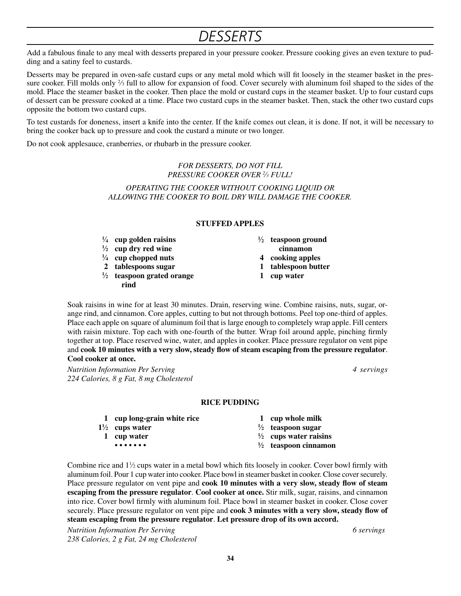### *Desserts*

Add a fabulous finale to any meal with desserts prepared in your pressure cooker. Pressure cooking gives an even texture to pudding and a satiny feel to custards.

Desserts may be prepared in oven-safe custard cups or any metal mold which will fit loosely in the steamer basket in the pressure cooker. Fill molds only  $\frac{2}{3}$  full to allow for expansion of food. Cover securely with aluminum foil shaped to the sides of the mold. Place the steamer basket in the cooker. Then place the mold or custard cups in the steamer basket. Up to four custard cups of dessert can be pressure cooked at a time. Place two custard cups in the steamer basket. Then, stack the other two custard cups opposite the bottom two custard cups.

To test custards for doneness, insert a knife into the center. If the knife comes out clean, it is done. If not, it will be necessary to bring the cooker back up to pressure and cook the custard a minute or two longer.

Do not cook applesauce, cranberries, or rhubarb in the pressure cooker.

*FOR DESSERTS, DO NOT FILL PRESSURE COOKER OVER 2 ⁄3 FULL!*

*Operating the cooker without cooking liquid or allowing the cooker to boil dry will damage the cooker.*

#### **STUFFED APPLES**

- $\frac{1}{4}$  **cup golden raisins**  $\frac{1}{4}$
- **1 ⁄2 cup dry red wine cinnamon**
- **1 ⁄4 cup chopped nuts 4 cooking apples**
- **2 tablespoons sugar 1 tablespoon butter**
- **1 ⁄2 teaspoon grated orange 1 cup water rind**
- **⁄2 teaspoon ground**
	-
- 
- 

Soak raisins in wine for at least 30 minutes. Drain, reserving wine. Combine raisins, nuts, sugar, orange rind, and cinnamon. Core apples, cutting to but not through bottoms. Peel top one-third of apples. Place each apple on square of aluminum foil that is large enough to completely wrap apple. Fill centers with raisin mixture. Top each with one-fourth of the butter. Wrap foil around apple, pinching firmly together at top. Place reserved wine, water, and apples in cooker. Place pressure regulator on vent pipe and **cook 10 minutes with a very slow, steady flow of steam escaping from the pressure regulator**. **Cool cooker at once.**

*Nutrition Information Per Serving 4 servings 224 Calories, 8 g Fat, 8 mg Cholesterol*

#### **RICE PUDDING**

| 1 cup long-grain white rice                         | 1 cup whole milk                 |
|-----------------------------------------------------|----------------------------------|
| $1\frac{1}{2}$ cups water                           | $\frac{1}{2}$ teaspoon sugar     |
| 1 cup water                                         | $\frac{1}{2}$ cups water raisins |
| $\bullet\bullet\bullet\bullet\bullet\bullet\bullet$ | $\frac{1}{2}$ teaspoon cinnamon  |

Combine rice and  $1\frac{1}{2}$  cups water in a metal bowl which fits loosely in cooker. Cover bowl firmly with aluminum foil. Pour 1 cup water into cooker. Place bowl in steamer basket in cooker. Close cover securely. Place pressure regulator on vent pipe and **cook 10 minutes with a very slow, steady flow of steam escaping from the pressure regulator**. **Cool cooker at once.** Stir milk, sugar, raisins, and cinnamon into rice. Cover bowl firmly with aluminum foil. Place bowl in steamer basket in cooker. Close cover securely. Place pressure regulator on vent pipe and **cook 3 minutes with a very slow, steady flow of steam escaping from the pressure regulator**. **Let pressure drop of its own accord.**

*Nutrition Information Per Serving 6 servings 238 Calories, 2 g Fat, 24 mg Cholesterol*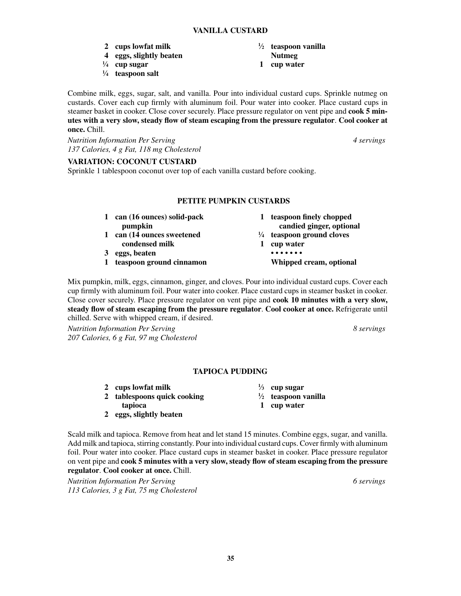- **2 cups lowfat milk <sup>1</sup>**
- **4 eggs, slightly beaten Nutmeg**
- **1 ⁄4 cup sugar 1 cup water**
- **1 ⁄4 teaspoon salt**

Combine milk, eggs, sugar, salt, and vanilla. Pour into individual custard cups. Sprinkle nutmeg on custards. Cover each cup firmly with aluminum foil. Pour water into cooker. Place custard cups in steamer basket in cooker. Close cover securely. Place pressure regulator on vent pipe and **cook 5 minutes with a very slow, steady flow of steam escaping from the pressure regulator**. **Cool cooker at once.** Chill.

*Nutrition Information Per Serving 4 servings 137 Calories, 4 g Fat, 118 mg Cholesterol*

#### **VARIATION: COCONUT CUSTARD**

Sprinkle 1 tablespoon coconut over top of each vanilla custard before cooking.

#### **Petite Pumpkin Custards**

**1 can (16 ounces) solid-pack 1 teaspoon finely chopped pumpkin candied ginger, optional 1 can (14 ounces sweetened <sup>1</sup> ⁄4 teaspoon ground cloves condensed milk 1 cup water 3 eggs, beaten • • • • • • • 1 teaspoon ground cinnamon Whipped cream, optional**

Mix pumpkin, milk, eggs, cinnamon, ginger, and cloves. Pour into individual custard cups. Cover each cup firmly with aluminum foil. Pour water into cooker. Place custard cups in steamer basket in cooker. Close cover securely. Place pressure regulator on vent pipe and **cook 10 minutes with a very slow, steady flow of steam escaping from the pressure regulator**. **Cool cooker at once.** Refrigerate until chilled. Serve with whipped cream, if desired.

*Nutrition Information Per Serving 8 servings 207 Calories, 6 g Fat, 97 mg Cholesterol*

#### **TAPIOCA PUDDING**

**⁄3 cup sugar**

**⁄2 teaspoon vanilla**

- **2 cups lowfat milk <sup>1</sup>**
- **2 tablespoons quick cooking <sup>1</sup>**
- **tapioca 1 cup water**
- **2 eggs, slightly beaten**

Scald milk and tapioca. Remove from heat and let stand 15 minutes. Combine eggs, sugar, and vanilla. Add milk and tapioca, stirring constantly. Pour into individual custard cups. Cover firmly with aluminum foil. Pour water into cooker. Place custard cups in steamer basket in cooker. Place pressure regulator on vent pipe and **cook 5 minutes with a very slow, steady flow of steam escaping from the pressure regulator**. **Cool cooker at once.** Chill.

*Nutrition Information Per Serving 6 servings 113 Calories, 3 g Fat, 75 mg Cholesterol*

- **⁄2 teaspoon vanilla**
-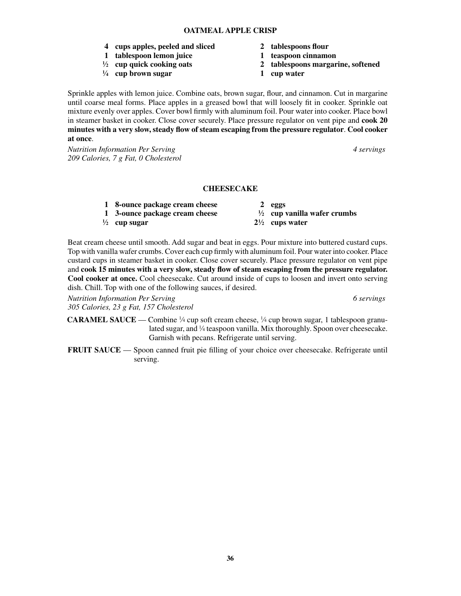- **4 cups apples, peeled and sliced 2 tablespoons flour**
- **1 tablespoon lemon juice 1 teaspoon cinnamon**
- $\frac{1}{2}$  cup quick cooking oats
- **1 ⁄4 cup brown sugar 1 cup water**
- 
- 
- **⁄2 cup quick cooking oats 2 tablespoons margarine, softened**
	-

Sprinkle apples with lemon juice. Combine oats, brown sugar, flour, and cinnamon. Cut in margarine until coarse meal forms. Place apples in a greased bowl that will loosely fit in cooker. Sprinkle oat mixture evenly over apples. Cover bowl firmly with aluminum foil. Pour water into cooker. Place bowl in steamer basket in cooker. Close cover securely. Place pressure regulator on vent pipe and **cook 20 minutes with a very slow, steady flow of steam escaping from the pressure regulator**. **Cool cooker at once**.

*Nutrition Information Per Serving 4 servings 209 Calories, 7 g Fat, 0 Cholesterol*

#### **CHEESECAKE**

**1 8-ounce package cream cheese 2 eggs**

- **1 3-ounce package cream cheese <sup>1</sup>**
- **1 ⁄2 cup sugar 21**

**⁄2 cup vanilla wafer crumbs**

**⁄2 cups water**

Beat cream cheese until smooth. Add sugar and beat in eggs. Pour mixture into buttered custard cups. Top with vanilla wafer crumbs. Cover each cup firmly with aluminum foil. Pour water into cooker. Place custard cups in steamer basket in cooker. Close cover securely. Place pressure regulator on vent pipe and **cook 15 minutes with a very slow, steady flow of steam escaping from the pressure regulator. Cool cooker at once.** Cool cheesecake. Cut around inside of cups to loosen and invert onto serving dish. Chill. Top with one of the following sauces, if desired.

*Nutrition Information Per Serving 6 servings 305 Calories, 23 g Fat, 157 Cholesterol*

**CARAMEL SAUCE** — Combine  $\frac{1}{4}$  cup soft cream cheese,  $\frac{1}{4}$  cup brown sugar, 1 tablespoon granulated sugar, and 1/4 teaspoon vanilla. Mix thoroughly. Spoon over cheesecake. Garnish with pecans. Refrigerate until serving.

**FRUIT SAUCE** — Spoon canned fruit pie filling of your choice over cheesecake. Refrigerate until serving.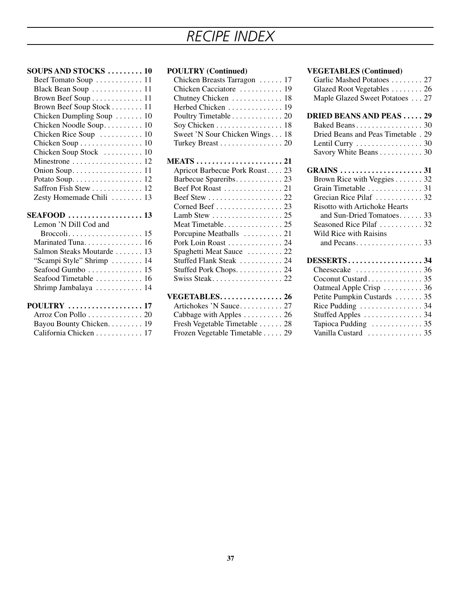# *Recipe Index*

| <b>SOUPS AND STOCKS</b> 10                   |
|----------------------------------------------|
| Beef Tomato Soup  11                         |
| Black Bean Soup  11                          |
| Brown Beef Soup 11                           |
| Brown Beef Soup Stock<br>11                  |
| Chicken Dumpling Soup<br>10                  |
| Chicken Noodle Soup<br>10                    |
| Chicken Rice Soup<br>10                      |
| 10<br>Chicken Soup                           |
| Chicken Soup Stock<br>10                     |
| Minestrone<br>12                             |
| Onion Soup<br>11                             |
|                                              |
| Saffron Fish Stew 12                         |
| Zesty Homemade Chili<br>13                   |
|                                              |
|                                              |
| Lemon 'N Dill Cod and                        |
|                                              |
| Marinated Tuna 16                            |
| Salmon Steaks Moutarde<br>13                 |
| 14                                           |
| "Scampi Style" Shrimp<br>Seafood Gumbo<br>15 |
| Seafood Timetable  16                        |
| Shrimp Jambalaya  14                         |
| POULTRY  17                                  |
| Arroz Con Pollo  20                          |
| Bayou Bounty Chicken. 19                     |

### **POULTRY (Continued)**

| Chicken Breasts Tarragon  17   |  |
|--------------------------------|--|
| Chicken Cacciatore  19         |  |
| Chutney Chicken 18             |  |
| Herbed Chicken  19             |  |
| Poultry Timetable 20           |  |
| Soy Chicken 18                 |  |
| Sweet 'N Sour Chicken Wings 18 |  |
| Turkey Breast 20               |  |
|                                |  |
|                                |  |
| Apricot Barbecue Pork Roast 23 |  |
|                                |  |
| Beef Pot Roast  21             |  |
|                                |  |
| Corned Beef 23                 |  |
| Lamb Stew 25                   |  |
|                                |  |
| Porcupine Meatballs  21        |  |
| Pork Loin Roast 24             |  |
| Spaghetti Meat Sauce  22       |  |
| Stuffed Flank Steak  24        |  |
| Stuffed Pork Chops 24          |  |
| Swiss Steak 22                 |  |
|                                |  |

### **VEGETABLES................ 26**

| Artichokes 'N Sauce 27                     |  |
|--------------------------------------------|--|
| Cabbage with Apples $\dots \dots \dots 26$ |  |
| Fresh Vegetable Timetable  28              |  |
| Frozen Vegetable Timetable 29              |  |

#### **VEGETABLES (Continued)**

| Garlic Mashed Potatoes  27<br>Glazed Root Vegetables 26 |  |
|---------------------------------------------------------|--|
| Maple Glazed Sweet Potatoes 27                          |  |
| <b>DRIED BEANS AND PEAS29</b>                           |  |
|                                                         |  |
| Dried Beans and Peas Timetable . 29                     |  |
|                                                         |  |
| Savory White Beans 30                                   |  |
| <b>GRAINS</b> 31                                        |  |
| Brown Rice with Veggies 32                              |  |
| Grain Timetable 31                                      |  |
| Grecian Rice Pilaf  32                                  |  |
| Risotto with Artichoke Hearts                           |  |
| and Sun-Dried Tomatoes 33                               |  |
| Seasoned Rice Pilaf  32                                 |  |
| Wild Rice with Raisins                                  |  |
| and Pecans. $\dots \dots \dots \dots \dots \dots$ 33    |  |
| <b>DESSERTS34</b>                                       |  |
|                                                         |  |
| Coconut Custard 35                                      |  |
| Oatmeal Apple Crisp  36                                 |  |
| Petite Pumpkin Custards  35                             |  |
| Rice Pudding $\dots \dots \dots \dots \dots 34$         |  |
| Stuffed Apples  34                                      |  |
| Tapioca Pudding  35                                     |  |
| Vanilla Custard  35                                     |  |